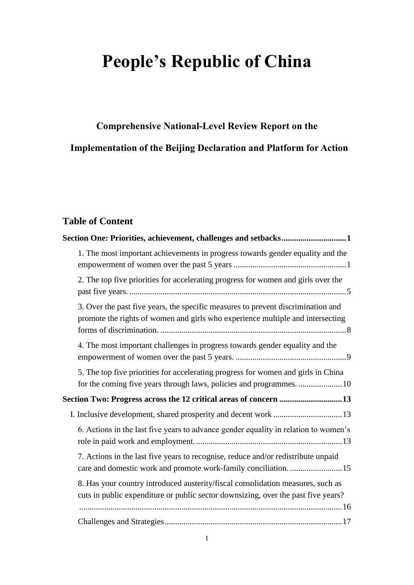# **People's Republic of China**

## **Comprehensive National-Level Review Report on the Implementation of the Beijing Declaration and Platform for Action**

## **Table of Content**

| Section One: Priorities, achievement, challenges and setbacks1                                                                                                       |
|----------------------------------------------------------------------------------------------------------------------------------------------------------------------|
| 1. The most important achievements in progress towards gender equality and the                                                                                       |
| 2. The top five priorities for accelerating progress for women and girls over the                                                                                    |
| 3. Over the past five years, the specific measures to prevent discrimination and<br>promote the rights of women and girls who experience multiple and intersecting   |
| 4. The most important challenges in progress towards gender equality and the                                                                                         |
| 5. The top five priorities for accelerating progress for women and girls in China<br>for the coming five years through laws, policies and programmes10               |
| Section Two: Progress across the 12 critical areas of concern 13                                                                                                     |
|                                                                                                                                                                      |
| 6. Actions in the last five years to advance gender equality in relation to women's                                                                                  |
| 7. Actions in the last five years to recognise, reduce and/or redistribute unpaid                                                                                    |
| 8. Has your country introduced austerity/fiscal consolidation measures, such as<br>cuts in public expenditure or public sector downsizing, over the past five years? |
|                                                                                                                                                                      |
|                                                                                                                                                                      |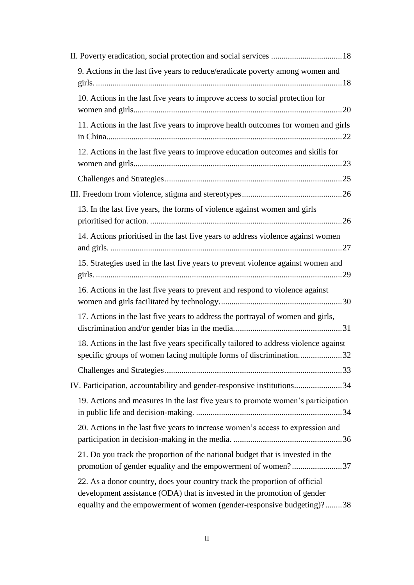| 9. Actions in the last five years to reduce/eradicate poverty among women and                                                                                                                                                    |  |
|----------------------------------------------------------------------------------------------------------------------------------------------------------------------------------------------------------------------------------|--|
| 10. Actions in the last five years to improve access to social protection for                                                                                                                                                    |  |
| 11. Actions in the last five years to improve health outcomes for women and girls                                                                                                                                                |  |
| 12. Actions in the last five years to improve education outcomes and skills for                                                                                                                                                  |  |
|                                                                                                                                                                                                                                  |  |
|                                                                                                                                                                                                                                  |  |
| 13. In the last five years, the forms of violence against women and girls                                                                                                                                                        |  |
| 14. Actions prioritised in the last five years to address violence against women                                                                                                                                                 |  |
| 15. Strategies used in the last five years to prevent violence against women and                                                                                                                                                 |  |
| 16. Actions in the last five years to prevent and respond to violence against                                                                                                                                                    |  |
| 17. Actions in the last five years to address the portrayal of women and girls,                                                                                                                                                  |  |
| 18. Actions in the last five years specifically tailored to address violence against                                                                                                                                             |  |
| specific groups of women facing multiple forms of discrimination32                                                                                                                                                               |  |
|                                                                                                                                                                                                                                  |  |
| IV. Participation, accountability and gender-responsive institutions34                                                                                                                                                           |  |
| 19. Actions and measures in the last five years to promote women's participation                                                                                                                                                 |  |
| 20. Actions in the last five years to increase women's access to expression and                                                                                                                                                  |  |
| 21. Do you track the proportion of the national budget that is invested in the<br>promotion of gender equality and the empowerment of women?37                                                                                   |  |
| 22. As a donor country, does your country track the proportion of official<br>development assistance (ODA) that is invested in the promotion of gender<br>equality and the empowerment of women (gender-responsive budgeting)?38 |  |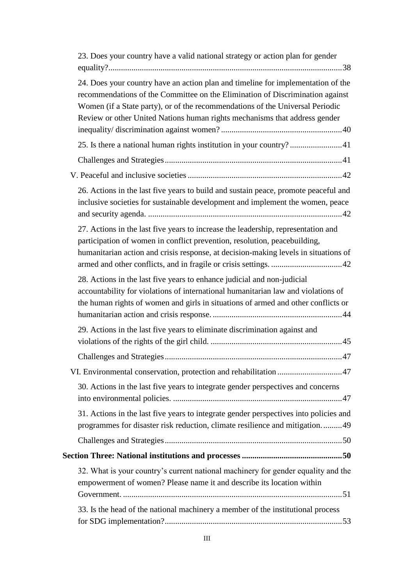| 23. Does your country have a valid national strategy or action plan for gender                                                                                                                                                                                                                                                   |
|----------------------------------------------------------------------------------------------------------------------------------------------------------------------------------------------------------------------------------------------------------------------------------------------------------------------------------|
| 24. Does your country have an action plan and timeline for implementation of the<br>recommendations of the Committee on the Elimination of Discrimination against<br>Women (if a State party), or of the recommendations of the Universal Periodic<br>Review or other United Nations human rights mechanisms that address gender |
| 25. Is there a national human rights institution in your country?41                                                                                                                                                                                                                                                              |
|                                                                                                                                                                                                                                                                                                                                  |
|                                                                                                                                                                                                                                                                                                                                  |
| 26. Actions in the last five years to build and sustain peace, promote peaceful and<br>inclusive societies for sustainable development and implement the women, peace                                                                                                                                                            |
| 27. Actions in the last five years to increase the leadership, representation and<br>participation of women in conflict prevention, resolution, peacebuilding,<br>humanitarian action and crisis response, at decision-making levels in situations of                                                                            |
| 28. Actions in the last five years to enhance judicial and non-judicial<br>accountability for violations of international humanitarian law and violations of<br>the human rights of women and girls in situations of armed and other conflicts or                                                                                |
| 29. Actions in the last five years to eliminate discrimination against and                                                                                                                                                                                                                                                       |
|                                                                                                                                                                                                                                                                                                                                  |
| VI. Environmental conservation, protection and rehabilitation 47                                                                                                                                                                                                                                                                 |
| 30. Actions in the last five years to integrate gender perspectives and concerns                                                                                                                                                                                                                                                 |
| 31. Actions in the last five years to integrate gender perspectives into policies and<br>programmes for disaster risk reduction, climate resilience and mitigation49                                                                                                                                                             |
|                                                                                                                                                                                                                                                                                                                                  |
|                                                                                                                                                                                                                                                                                                                                  |
| 32. What is your country's current national machinery for gender equality and the<br>empowerment of women? Please name it and describe its location within                                                                                                                                                                       |
|                                                                                                                                                                                                                                                                                                                                  |
| 33. Is the head of the national machinery a member of the institutional process                                                                                                                                                                                                                                                  |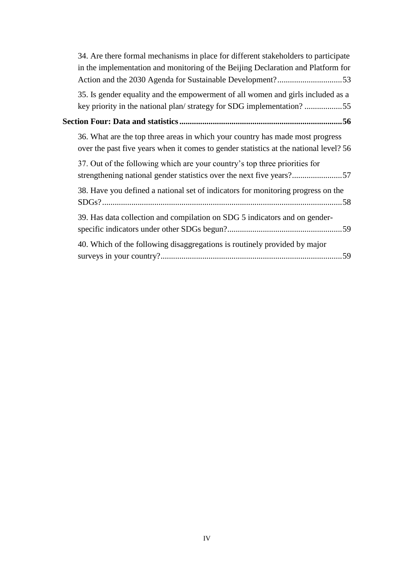|                                                                    | 34. Are there formal mechanisms in place for different stakeholders to participate<br>in the implementation and monitoring of the Beijing Declaration and Platform for |  |  |
|--------------------------------------------------------------------|------------------------------------------------------------------------------------------------------------------------------------------------------------------------|--|--|
|                                                                    | 35. Is gender equality and the empowerment of all women and girls included as a<br>key priority in the national plan/strategy for SDG implementation?55                |  |  |
| Section Four: Data and statistics ………………………………………………………………………………56 |                                                                                                                                                                        |  |  |
|                                                                    | 36. What are the top three areas in which your country has made most progress<br>over the past five years when it comes to gender statistics at the national level? 56 |  |  |
|                                                                    | 37. Out of the following which are your country's top three priorities for                                                                                             |  |  |
|                                                                    | 38. Have you defined a national set of indicators for monitoring progress on the                                                                                       |  |  |
|                                                                    | 39. Has data collection and compilation on SDG 5 indicators and on gender-                                                                                             |  |  |
|                                                                    | 40. Which of the following disaggregations is routinely provided by major                                                                                              |  |  |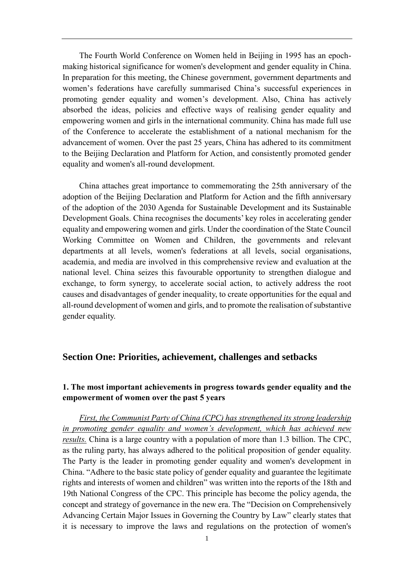The Fourth World Conference on Women held in Beijing in 1995 has an epochmaking historical significance for women's development and gender equality in China. In preparation for this meeting, the Chinese government, government departments and women's federations have carefully summarised China's successful experiences in promoting gender equality and women's development. Also, China has actively absorbed the ideas, policies and effective ways of realising gender equality and empowering women and girls in the international community. China has made full use of the Conference to accelerate the establishment of a national mechanism for the advancement of women. Over the past 25 years, China has adhered to its commitment to the Beijing Declaration and Platform for Action, and consistently promoted gender equality and women's all-round development.

China attaches great importance to commemorating the 25th anniversary of the adoption of the Beijing Declaration and Platform for Action and the fifth anniversary of the adoption of the 2030 Agenda for Sustainable Development and its Sustainable Development Goals. China recognises the documents' key roles in accelerating gender equality and empowering women and girls. Under the coordination of the State Council Working Committee on Women and Children, the governments and relevant departments at all levels, women's federations at all levels, social organisations, academia, and media are involved in this comprehensive review and evaluation at the national level. China seizes this favourable opportunity to strengthen dialogue and exchange, to form synergy, to accelerate social action, to actively address the root causes and disadvantages of gender inequality, to create opportunities for the equal and all-round development of women and girls, and to promote the realisation of substantive gender equality.

#### <span id="page-4-0"></span>**Section One: Priorities, achievement, challenges and setbacks**

## <span id="page-4-1"></span>**1. The most important achievements in progress towards gender equality and the empowerment of women over the past 5 years**

*First, the Communist Party of China (CPC) has strengthened its strong leadership in promoting gender equality and women's development, which has achieved new results.* China is a large country with a population of more than 1.3 billion. The CPC, as the ruling party, has always adhered to the political proposition of gender equality. The Party is the leader in promoting gender equality and women's development in China. "Adhere to the basic state policy of gender equality and guarantee the legitimate rights and interests of women and children" was written into the reports of the 18th and 19th National Congress of the CPC. This principle has become the policy agenda, the concept and strategy of governance in the new era. The "Decision on Comprehensively Advancing Certain Major Issues in Governing the Country by Law" clearly states that it is necessary to improve the laws and regulations on the protection of women's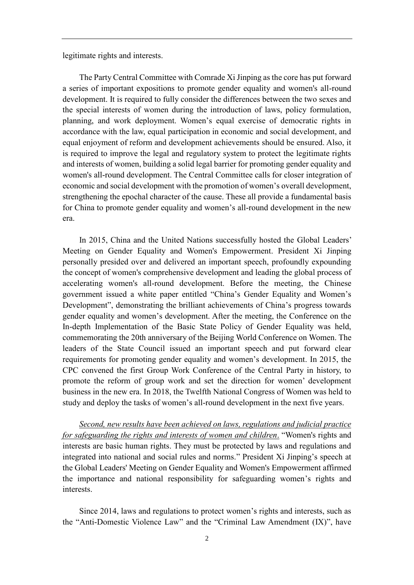legitimate rights and interests.

The Party Central Committee with Comrade Xi Jinping as the core has put forward a series of important expositions to promote gender equality and women's all-round development. It is required to fully consider the differences between the two sexes and the special interests of women during the introduction of laws, policy formulation, planning, and work deployment. Women's equal exercise of democratic rights in accordance with the law, equal participation in economic and social development, and equal enjoyment of reform and development achievements should be ensured. Also, it is required to improve the legal and regulatory system to protect the legitimate rights and interests of women, building a solid legal barrier for promoting gender equality and women's all-round development. The Central Committee calls for closer integration of economic and social development with the promotion of women's overall development, strengthening the epochal character of the cause. These all provide a fundamental basis for China to promote gender equality and women's all-round development in the new era.

In 2015, China and the United Nations successfully hosted the Global Leaders' Meeting on Gender Equality and Women's Empowerment. President Xi Jinping personally presided over and delivered an important speech, profoundly expounding the concept of women's comprehensive development and leading the global process of accelerating women's all-round development. Before the meeting, the Chinese government issued a white paper entitled "China's Gender Equality and Women's Development", demonstrating the brilliant achievements of China's progress towards gender equality and women's development. After the meeting, the Conference on the In-depth Implementation of the Basic State Policy of Gender Equality was held, commemorating the 20th anniversary of the Beijing World Conference on Women. The leaders of the State Council issued an important speech and put forward clear requirements for promoting gender equality and women's development. In 2015, the CPC convened the first Group Work Conference of the Central Party in history, to promote the reform of group work and set the direction for women' development business in the new era. In 2018, the Twelfth National Congress of Women was held to study and deploy the tasks of women's all-round development in the next five years.

*Second, new results have been achieved on laws, regulations and judicial practice for safeguarding the rights and interests of women and children*. "Women's rights and interests are basic human rights. They must be protected by laws and regulations and integrated into national and social rules and norms." President Xi Jinping's speech at the Global Leaders' Meeting on Gender Equality and Women's Empowerment affirmed the importance and national responsibility for safeguarding women's rights and interests.

Since 2014, laws and regulations to protect women's rights and interests, such as the "Anti-Domestic Violence Law" and the "Criminal Law Amendment (IX)", have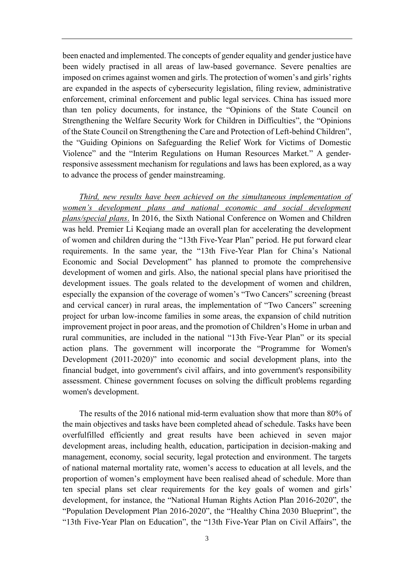been enacted and implemented. The concepts of gender equality and gender justice have been widely practised in all areas of law-based governance. Severe penalties are imposed on crimes against women and girls. The protection of women's and girls' rights are expanded in the aspects of cybersecurity legislation, filing review, administrative enforcement, criminal enforcement and public legal services. China has issued more than ten policy documents, for instance, the "Opinions of the State Council on Strengthening the Welfare Security Work for Children in Difficulties", the "Opinions of the State Council on Strengthening the Care and Protection of Left-behind Children", the "Guiding Opinions on Safeguarding the Relief Work for Victims of Domestic Violence" and the "Interim Regulations on Human Resources Market." A genderresponsive assessment mechanism for regulations and laws has been explored, as a way to advance the process of gender mainstreaming.

*Third, new results have been achieved on the simultaneous implementation of women's development plans and national economic and social development plans/special plans*. In 2016, the Sixth National Conference on Women and Children was held. Premier Li Keqiang made an overall plan for accelerating the development of women and children during the "13th Five-Year Plan" period. He put forward clear requirements. In the same year, the "13th Five-Year Plan for China's National Economic and Social Development" has planned to promote the comprehensive development of women and girls. Also, the national special plans have prioritised the development issues. The goals related to the development of women and children, especially the expansion of the coverage of women's "Two Cancers" screening (breast and cervical cancer) in rural areas, the implementation of "Two Cancers" screening project for urban low-income families in some areas, the expansion of child nutrition improvement project in poor areas, and the promotion of Children's Home in urban and rural communities, are included in the national "13th Five-Year Plan" or its special action plans. The government will incorporate the "Programme for Women's Development (2011-2020)" into economic and social development plans, into the financial budget, into government's civil affairs, and into government's responsibility assessment. Chinese government focuses on solving the difficult problems regarding women's development.

The results of the 2016 national mid-term evaluation show that more than 80% of the main objectives and tasks have been completed ahead of schedule. Tasks have been overfulfilled efficiently and great results have been achieved in seven major development areas, including health, education, participation in decision-making and management, economy, social security, legal protection and environment. The targets of national maternal mortality rate, women's access to education at all levels, and the proportion of women's employment have been realised ahead of schedule. More than ten special plans set clear requirements for the key goals of women and girls' development, for instance, the "National Human Rights Action Plan 2016-2020", the "Population Development Plan 2016-2020", the "Healthy China 2030 Blueprint", the "13th Five-Year Plan on Education", the "13th Five-Year Plan on Civil Affairs", the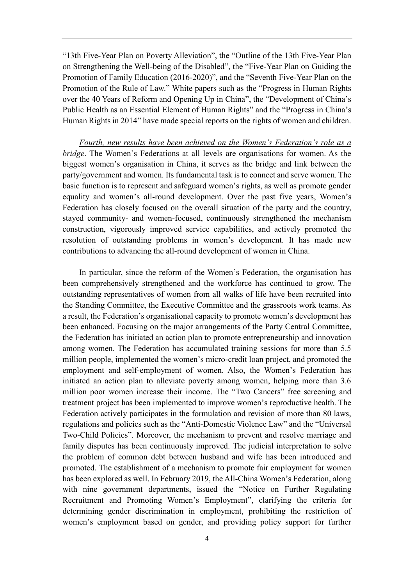"13th Five-Year Plan on Poverty Alleviation", the "Outline of the 13th Five-Year Plan on Strengthening the Well-being of the Disabled", the "Five-Year Plan on Guiding the Promotion of Family Education (2016-2020)", and the "Seventh Five-Year Plan on the Promotion of the Rule of Law." White papers such as the "Progress in Human Rights over the 40 Years of Reform and Opening Up in China", the "Development of China's Public Health as an Essential Element of Human Rights" and the "Progress in China's Human Rights in 2014" have made special reports on the rights of women and children.

*Fourth, new results have been achieved on the Women's Federation's role as a bridge*. The Women's Federations at all levels are organisations for women. As the biggest women's organisation in China, it serves as the bridge and link between the party/government and women. Its fundamental task is to connect and serve women. The basic function is to represent and safeguard women's rights, as well as promote gender equality and women's all-round development. Over the past five years, Women's Federation has closely focused on the overall situation of the party and the country, stayed community- and women-focused, continuously strengthened the mechanism construction, vigorously improved service capabilities, and actively promoted the resolution of outstanding problems in women's development. It has made new contributions to advancing the all-round development of women in China.

In particular, since the reform of the Women's Federation, the organisation has been comprehensively strengthened and the workforce has continued to grow. The outstanding representatives of women from all walks of life have been recruited into the Standing Committee, the Executive Committee and the grassroots work teams. As a result, the Federation's organisational capacity to promote women's development has been enhanced. Focusing on the major arrangements of the Party Central Committee, the Federation has initiated an action plan to promote entrepreneurship and innovation among women. The Federation has accumulated training sessions for more than 5.5 million people, implemented the women's micro-credit loan project, and promoted the employment and self-employment of women. Also, the Women's Federation has initiated an action plan to alleviate poverty among women, helping more than 3.6 million poor women increase their income. The "Two Cancers" free screening and treatment project has been implemented to improve women's reproductive health. The Federation actively participates in the formulation and revision of more than 80 laws, regulations and policies such as the "Anti-Domestic Violence Law" and the "Universal Two-Child Policies". Moreover, the mechanism to prevent and resolve marriage and family disputes has been continuously improved. The judicial interpretation to solve the problem of common debt between husband and wife has been introduced and promoted. The establishment of a mechanism to promote fair employment for women has been explored as well. In February 2019, the All-China Women's Federation, along with nine government departments, issued the "Notice on Further Regulating Recruitment and Promoting Women's Employment", clarifying the criteria for determining gender discrimination in employment, prohibiting the restriction of women's employment based on gender, and providing policy support for further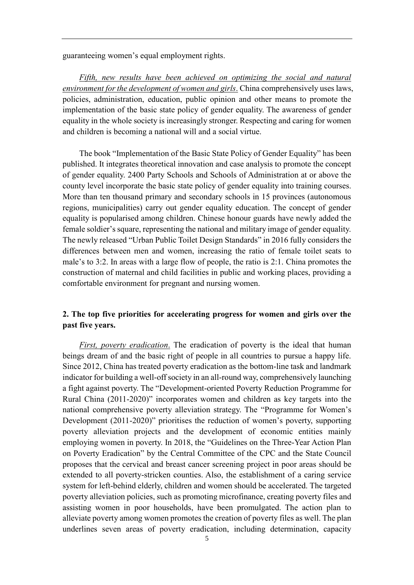guaranteeing women's equal employment rights.

*Fifth, new results have been achieved on optimizing the social and natural environment for the development of women and girls*. China comprehensively uses laws, policies, administration, education, public opinion and other means to promote the implementation of the basic state policy of gender equality. The awareness of gender equality in the whole society is increasingly stronger. Respecting and caring for women and children is becoming a national will and a social virtue.

The book "Implementation of the Basic State Policy of Gender Equality" has been published. It integrates theoretical innovation and case analysis to promote the concept of gender equality. 2400 Party Schools and Schools of Administration at or above the county level incorporate the basic state policy of gender equality into training courses. More than ten thousand primary and secondary schools in 15 provinces (autonomous regions, municipalities) carry out gender equality education. The concept of gender equality is popularised among children. Chinese honour guards have newly added the female soldier's square, representing the national and military image of gender equality. The newly released "Urban Public Toilet Design Standards" in 2016 fully considers the differences between men and women, increasing the ratio of female toilet seats to male's to 3:2. In areas with a large flow of people, the ratio is 2:1. China promotes the construction of maternal and child facilities in public and working places, providing a comfortable environment for pregnant and nursing women.

## <span id="page-8-0"></span>**2. The top five priorities for accelerating progress for women and girls over the past five years.**

*First, poverty eradication*. The eradication of poverty is the ideal that human beings dream of and the basic right of people in all countries to pursue a happy life. Since 2012, China has treated poverty eradication as the bottom-line task and landmark indicator for building a well-off society in an all-round way, comprehensively launching a fight against poverty. The "Development-oriented Poverty Reduction Programme for Rural China (2011-2020)" incorporates women and children as key targets into the national comprehensive poverty alleviation strategy. The "Programme for Women's Development (2011-2020)" prioritises the reduction of women's poverty, supporting poverty alleviation projects and the development of economic entities mainly employing women in poverty. In 2018, the "Guidelines on the Three-Year Action Plan on Poverty Eradication" by the Central Committee of the CPC and the State Council proposes that the cervical and breast cancer screening project in poor areas should be extended to all poverty-stricken counties. Also, the establishment of a caring service system for left-behind elderly, children and women should be accelerated. The targeted poverty alleviation policies, such as promoting microfinance, creating poverty files and assisting women in poor households, have been promulgated. The action plan to alleviate poverty among women promotes the creation of poverty files as well. The plan underlines seven areas of poverty eradication, including determination, capacity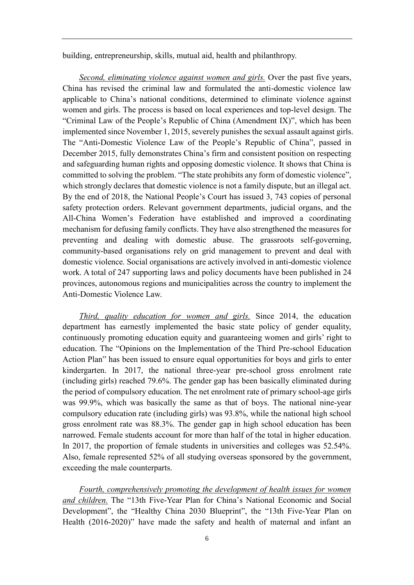building, entrepreneurship, skills, mutual aid, health and philanthropy.

*Second, eliminating violence against women and girls.* Over the past five years, China has revised the criminal law and formulated the anti-domestic violence law applicable to China's national conditions, determined to eliminate violence against women and girls. The process is based on local experiences and top-level design. The "Criminal Law of the People's Republic of China (Amendment IX)", which has been implemented since November 1, 2015, severely punishes the sexual assault against girls. The "Anti-Domestic Violence Law of the People's Republic of China", passed in December 2015, fully demonstrates China's firm and consistent position on respecting and safeguarding human rights and opposing domestic violence. It shows that China is committed to solving the problem. "The state prohibits any form of domestic violence", which strongly declares that domestic violence is not a family dispute, but an illegal act. By the end of 2018, the National People's Court has issued 3, 743 copies of personal safety protection orders. Relevant government departments, judicial organs, and the All-China Women's Federation have established and improved a coordinating mechanism for defusing family conflicts. They have also strengthened the measures for preventing and dealing with domestic abuse. The grassroots self-governing, community-based organisations rely on grid management to prevent and deal with domestic violence. Social organisations are actively involved in anti-domestic violence work. A total of 247 supporting laws and policy documents have been published in 24 provinces, autonomous regions and municipalities across the country to implement the Anti-Domestic Violence Law.

*Third, quality education for women and girls.* Since 2014, the education department has earnestly implemented the basic state policy of gender equality, continuously promoting education equity and guaranteeing women and girls' right to education. The "Opinions on the Implementation of the Third Pre-school Education Action Plan" has been issued to ensure equal opportunities for boys and girls to enter kindergarten. In 2017, the national three-year pre-school gross enrolment rate (including girls) reached 79.6%. The gender gap has been basically eliminated during the period of compulsory education. The net enrolment rate of primary school-age girls was 99.9%, which was basically the same as that of boys. The national nine-year compulsory education rate (including girls) was 93.8%, while the national high school gross enrolment rate was 88.3%. The gender gap in high school education has been narrowed. Female students account for more than half of the total in higher education. In 2017, the proportion of female students in universities and colleges was 52.54%. Also, female represented 52% of all studying overseas sponsored by the government, exceeding the male counterparts.

*Fourth, comprehensively promoting the development of health issues for women and children.* The "13th Five-Year Plan for China's National Economic and Social Development", the "Healthy China 2030 Blueprint", the "13th Five-Year Plan on Health (2016-2020)" have made the safety and health of maternal and infant an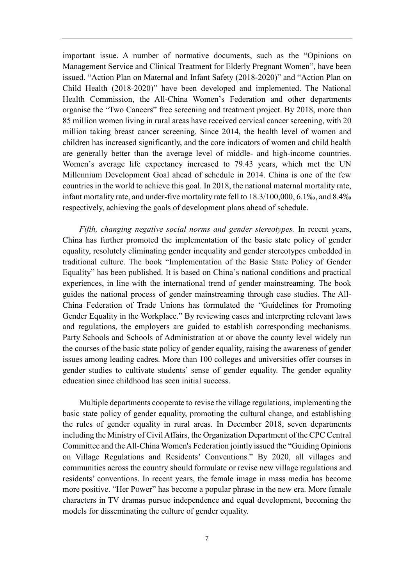important issue. A number of normative documents, such as the "Opinions on Management Service and Clinical Treatment for Elderly Pregnant Women", have been issued. "Action Plan on Maternal and Infant Safety (2018-2020)" and "Action Plan on Child Health (2018-2020)" have been developed and implemented. The National Health Commission, the All-China Women's Federation and other departments organise the "Two Cancers" free screening and treatment project. By 2018, more than 85 million women living in rural areas have received cervical cancer screening, with 20 million taking breast cancer screening. Since 2014, the health level of women and children has increased significantly, and the core indicators of women and child health are generally better than the average level of middle- and high-income countries. Women's average life expectancy increased to 79.43 years, which met the UN Millennium Development Goal ahead of schedule in 2014. China is one of the few countries in the world to achieve this goal. In 2018, the national maternal mortality rate, infant mortality rate, and under-five mortality rate fell to 18.3/100,000, 6.1‰, and 8.4‰ respectively, achieving the goals of development plans ahead of schedule.

*Fifth, changing negative social norms and gender stereotypes.* In recent years, China has further promoted the implementation of the basic state policy of gender equality, resolutely eliminating gender inequality and gender stereotypes embedded in traditional culture. The book "Implementation of the Basic State Policy of Gender Equality" has been published. It is based on China's national conditions and practical experiences, in line with the international trend of gender mainstreaming. The book guides the national process of gender mainstreaming through case studies. The All-China Federation of Trade Unions has formulated the "Guidelines for Promoting Gender Equality in the Workplace." By reviewing cases and interpreting relevant laws and regulations, the employers are guided to establish corresponding mechanisms. Party Schools and Schools of Administration at or above the county level widely run the courses of the basic state policy of gender equality, raising the awareness of gender issues among leading cadres. More than 100 colleges and universities offer courses in gender studies to cultivate students' sense of gender equality. The gender equality education since childhood has seen initial success.

Multiple departments cooperate to revise the village regulations, implementing the basic state policy of gender equality, promoting the cultural change, and establishing the rules of gender equality in rural areas. In December 2018, seven departments including the Ministry of Civil Affairs, the Organization Department of the CPC Central Committee and the All-China Women's Federation jointly issued the "Guiding Opinions on Village Regulations and Residents' Conventions." By 2020, all villages and communities across the country should formulate or revise new village regulations and residents' conventions. In recent years, the female image in mass media has become more positive. "Her Power" has become a popular phrase in the new era. More female characters in TV dramas pursue independence and equal development, becoming the models for disseminating the culture of gender equality.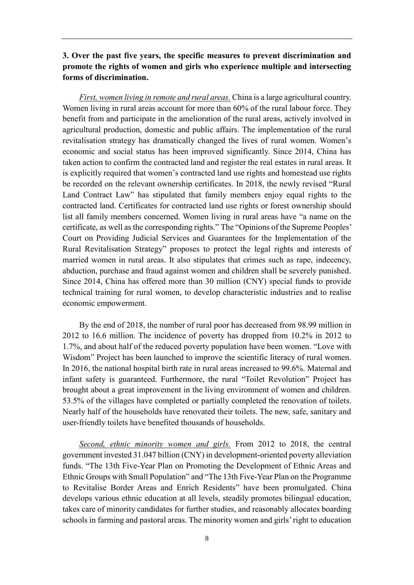## <span id="page-11-0"></span>**3. Over the past five years, the specific measures to prevent discrimination and promote the rights of women and girls who experience multiple and intersecting forms of discrimination.**

*First, women living in remote and rural areas.* China is a large agricultural country. Women living in rural areas account for more than 60% of the rural labour force. They benefit from and participate in the amelioration of the rural areas, actively involved in agricultural production, domestic and public affairs. The implementation of the rural revitalisation strategy has dramatically changed the lives of rural women. Women's economic and social status has been improved significantly. Since 2014, China has taken action to confirm the contracted land and register the real estates in rural areas. It is explicitly required that women's contracted land use rights and homestead use rights be recorded on the relevant ownership certificates. In 2018, the newly revised "Rural Land Contract Law" has stipulated that family members enjoy equal rights to the contracted land. Certificates for contracted land use rights or forest ownership should list all family members concerned. Women living in rural areas have "a name on the certificate, as well as the corresponding rights." The "Opinions of the Supreme Peoples' Court on Providing Judicial Services and Guarantees for the Implementation of the Rural Revitalisation Strategy" proposes to protect the legal rights and interests of married women in rural areas. It also stipulates that crimes such as rape, indecency, abduction, purchase and fraud against women and children shall be severely punished. Since 2014, China has offered more than 30 million (CNY) special funds to provide technical training for rural women, to develop characteristic industries and to realise economic empowerment.

By the end of 2018, the number of rural poor has decreased from 98.99 million in 2012 to 16.6 million. The incidence of poverty has dropped from 10.2% in 2012 to 1.7%, and about half of the reduced poverty population have been women. "Love with Wisdom" Project has been launched to improve the scientific literacy of rural women. In 2016, the national hospital birth rate in rural areas increased to 99.6%. Maternal and infant safety is guaranteed. Furthermore, the rural "Toilet Revolution" Project has brought about a great improvement in the living environment of women and children. 53.5% of the villages have completed or partially completed the renovation of toilets. Nearly half of the households have renovated their toilets. The new, safe, sanitary and user-friendly toilets have benefited thousands of households.

*Second, ethnic minority women and girls.* From 2012 to 2018, the central government invested 31.047 billion (CNY) in development-oriented poverty alleviation funds. "The 13th Five-Year Plan on Promoting the Development of Ethnic Areas and Ethnic Groups with Small Population" and "The 13th Five-Year Plan on the Programme to Revitalise Border Areas and Enrich Residents" have been promulgated. China develops various ethnic education at all levels, steadily promotes bilingual education, takes care of minority candidates for further studies, and reasonably allocates boarding schools in farming and pastoral areas. The minority women and girls' right to education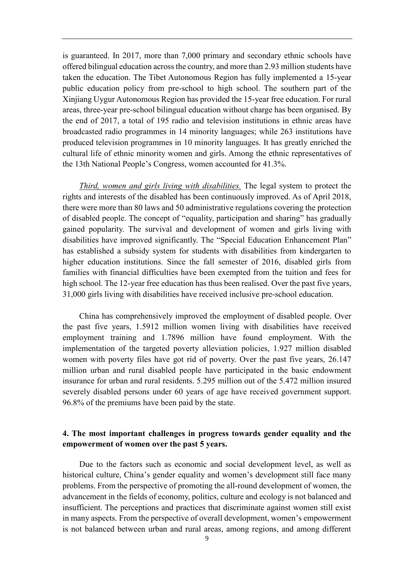is guaranteed. In 2017, more than 7,000 primary and secondary ethnic schools have offered bilingual education across the country, and more than 2.93 million students have taken the education. The Tibet Autonomous Region has fully implemented a 15-year public education policy from pre-school to high school. The southern part of the Xinjiang Uygur Autonomous Region has provided the 15-year free education. For rural areas, three-year pre-school bilingual education without charge has been organised. By the end of 2017, a total of 195 radio and television institutions in ethnic areas have broadcasted radio programmes in 14 minority languages; while 263 institutions have produced television programmes in 10 minority languages. It has greatly enriched the cultural life of ethnic minority women and girls. Among the ethnic representatives of the 13th National People's Congress, women accounted for 41.3%.

*Third, women and girls living with disabilities.* The legal system to protect the rights and interests of the disabled has been continuously improved. As of April 2018, there were more than 80 laws and 50 administrative regulations covering the protection of disabled people. The concept of "equality, participation and sharing" has gradually gained popularity. The survival and development of women and girls living with disabilities have improved significantly. The "Special Education Enhancement Plan" has established a subsidy system for students with disabilities from kindergarten to higher education institutions. Since the fall semester of 2016, disabled girls from families with financial difficulties have been exempted from the tuition and fees for high school. The 12-year free education has thus been realised. Over the past five years, 31,000 girls living with disabilities have received inclusive pre-school education.

China has comprehensively improved the employment of disabled people. Over the past five years, 1.5912 million women living with disabilities have received employment training and 1.7896 million have found employment. With the implementation of the targeted poverty alleviation policies, 1.927 million disabled women with poverty files have got rid of poverty. Over the past five years, 26.147 million urban and rural disabled people have participated in the basic endowment insurance for urban and rural residents. 5.295 million out of the 5.472 million insured severely disabled persons under 60 years of age have received government support. 96.8% of the premiums have been paid by the state.

#### <span id="page-12-0"></span>**4. The most important challenges in progress towards gender equality and the empowerment of women over the past 5 years.**

Due to the factors such as economic and social development level, as well as historical culture, China's gender equality and women's development still face many problems. From the perspective of promoting the all-round development of women, the advancement in the fields of economy, politics, culture and ecology is not balanced and insufficient. The perceptions and practices that discriminate against women still exist in many aspects. From the perspective of overall development, women's empowerment is not balanced between urban and rural areas, among regions, and among different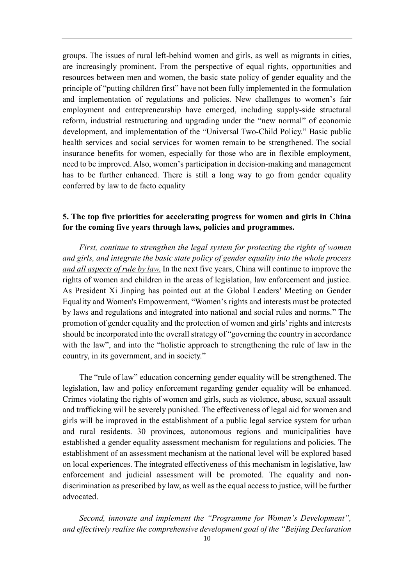groups. The issues of rural left-behind women and girls, as well as migrants in cities, are increasingly prominent. From the perspective of equal rights, opportunities and resources between men and women, the basic state policy of gender equality and the principle of "putting children first" have not been fully implemented in the formulation and implementation of regulations and policies. New challenges to women's fair employment and entrepreneurship have emerged, including supply-side structural reform, industrial restructuring and upgrading under the "new normal" of economic development, and implementation of the "Universal Two-Child Policy." Basic public health services and social services for women remain to be strengthened. The social insurance benefits for women, especially for those who are in flexible employment, need to be improved. Also, women's participation in decision-making and management has to be further enhanced. There is still a long way to go from gender equality conferred by law to de facto equality

## <span id="page-13-0"></span>**5. The top five priorities for accelerating progress for women and girls in China for the coming five years through laws, policies and programmes.**

*First, continue to strengthen the legal system for protecting the rights of women and girls, and integrate the basic state policy of gender equality into the whole process and all aspects of rule by law.* In the next five years, China will continue to improve the rights of women and children in the areas of legislation, law enforcement and justice. As President Xi Jinping has pointed out at the Global Leaders' Meeting on Gender Equality and Women's Empowerment, "Women's rights and interests must be protected by laws and regulations and integrated into national and social rules and norms." The promotion of gender equality and the protection of women and girls' rights and interests should be incorporated into the overall strategy of "governing the country in accordance with the law", and into the "holistic approach to strengthening the rule of law in the country, in its government, and in society."

The "rule of law" education concerning gender equality will be strengthened. The legislation, law and policy enforcement regarding gender equality will be enhanced. Crimes violating the rights of women and girls, such as violence, abuse, sexual assault and trafficking will be severely punished. The effectiveness of legal aid for women and girls will be improved in the establishment of a public legal service system for urban and rural residents. 30 provinces, autonomous regions and municipalities have established a gender equality assessment mechanism for regulations and policies. The establishment of an assessment mechanism at the national level will be explored based on local experiences. The integrated effectiveness of this mechanism in legislative, law enforcement and judicial assessment will be promoted. The equality and nondiscrimination as prescribed by law, as well as the equal access to justice, will be further advocated.

*Second, innovate and implement the "Programme for Women's Development", and effectively realise the comprehensive development goal of the "Beijing Declaration*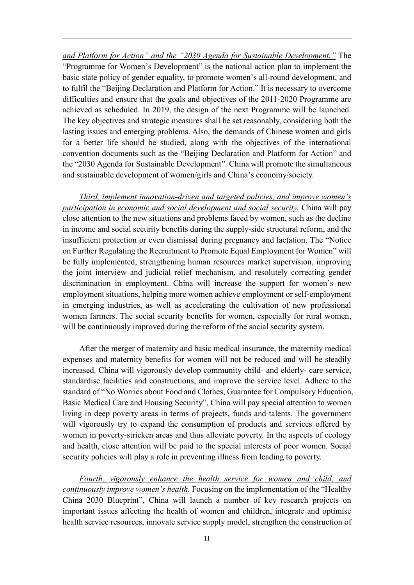*and Platform for Action" and the "2030 Agenda for Sustainable Development."* The "Programme for Women's Development" is the national action plan to implement the basic state policy of gender equality, to promote women's all-round development, and to fulfil the "Beijing Declaration and Platform for Action." It is necessary to overcome difficulties and ensure that the goals and objectives of the 2011-2020 Programme are achieved as scheduled. In 2019, the design of the next Programme will be launched. The key objectives and strategic measures shall be set reasonably, considering both the lasting issues and emerging problems. Also, the demands of Chinese women and girls for a better life should be studied, along with the objectives of the international convention documents such as the "Beijing Declaration and Platform for Action" and the "2030 Agenda for Sustainable Development". China will promote the simultaneous and sustainable development of women/girls and China's economy/society.

*Third, implement innovation-driven and targeted policies, and improve women's participation in economic and social development and social security.* China will pay close attention to the new situations and problems faced by women, such as the decline in income and social security benefits during the supply-side structural reform, and the insufficient protection or even dismissal during pregnancy and lactation. The "Notice on Further Regulating the Recruitment to Promote Equal Employment for Women" will be fully implemented, strengthening human resources market supervision, improving the joint interview and judicial relief mechanism, and resolutely correcting gender discrimination in employment. China will increase the support for women's new employment situations, helping more women achieve employment or self-employment in emerging industries, as well as accelerating the cultivation of new professional women farmers. The social security benefits for women, especially for rural women, will be continuously improved during the reform of the social security system.

After the merger of maternity and basic medical insurance, the maternity medical expenses and maternity benefits for women will not be reduced and will be steadily increased. China will vigorously develop community child- and elderly- care service, standardise facilities and constructions, and improve the service level. Adhere to the standard of "No Worries about Food and Clothes, Guarantee for Compulsory Education, Basic Medical Care and Housing Security", China will pay special attention to women living in deep poverty areas in terms of projects, funds and talents. The government will vigorously try to expand the consumption of products and services offered by women in poverty-stricken areas and thus alleviate poverty. In the aspects of ecology and health, close attention will be paid to the special interests of poor women. Social security policies will play a role in preventing illness from leading to poverty.

*Fourth, vigorously enhance the health service for women and child, and continuously improve women's health.* Focusing on the implementation of the "Healthy China 2030 Blueprint", China will launch a number of key research projects on important issues affecting the health of women and children, integrate and optimise health service resources, innovate service supply model, strengthen the construction of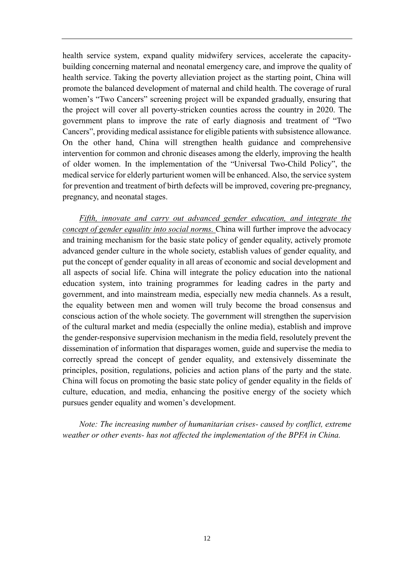health service system, expand quality midwifery services, accelerate the capacitybuilding concerning maternal and neonatal emergency care, and improve the quality of health service. Taking the poverty alleviation project as the starting point, China will promote the balanced development of maternal and child health. The coverage of rural women's "Two Cancers" screening project will be expanded gradually, ensuring that the project will cover all poverty-stricken counties across the country in 2020. The government plans to improve the rate of early diagnosis and treatment of "Two Cancers", providing medical assistance for eligible patients with subsistence allowance. On the other hand, China will strengthen health guidance and comprehensive intervention for common and chronic diseases among the elderly, improving the health of older women. In the implementation of the "Universal Two-Child Policy", the medical service for elderly parturient women will be enhanced. Also, the service system for prevention and treatment of birth defects will be improved, covering pre-pregnancy, pregnancy, and neonatal stages.

*Fifth, innovate and carry out advanced gender education, and integrate the concept of gender equality into social norms.* China will further improve the advocacy and training mechanism for the basic state policy of gender equality, actively promote advanced gender culture in the whole society, establish values of gender equality, and put the concept of gender equality in all areas of economic and social development and all aspects of social life. China will integrate the policy education into the national education system, into training programmes for leading cadres in the party and government, and into mainstream media, especially new media channels. As a result, the equality between men and women will truly become the broad consensus and conscious action of the whole society. The government will strengthen the supervision of the cultural market and media (especially the online media), establish and improve the gender-responsive supervision mechanism in the media field, resolutely prevent the dissemination of information that disparages women, guide and supervise the media to correctly spread the concept of gender equality, and extensively disseminate the principles, position, regulations, policies and action plans of the party and the state. China will focus on promoting the basic state policy of gender equality in the fields of culture, education, and media, enhancing the positive energy of the society which pursues gender equality and women's development.

*Note: The increasing number of humanitarian crises- caused by conflict, extreme weather or other events- has not affected the implementation of the BPFA in China.*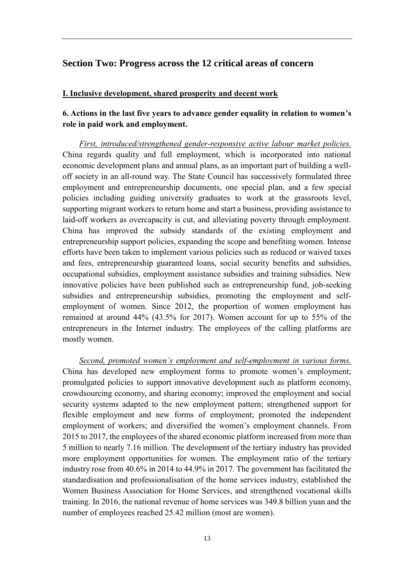#### <span id="page-16-0"></span>**Section Two: Progress across the 12 critical areas of concern**

#### <span id="page-16-1"></span>**I. Inclusive development, shared prosperity and decent work**

## <span id="page-16-2"></span>**6. Actions in the last five years to advance gender equality in relation to women's role in paid work and employment.**

*First, introduced/strengthened gender-responsive active labour market policies.* China regards quality and full employment, which is incorporated into national economic development plans and annual plans, as an important part of building a welloff society in an all-round way. The State Council has successively formulated three employment and entrepreneurship documents, one special plan, and a few special policies including guiding university graduates to work at the grassroots level, supporting migrant workers to return home and start a business, providing assistance to laid-off workers as overcapacity is cut, and alleviating poverty through employment. China has improved the subsidy standards of the existing employment and entrepreneurship support policies, expanding the scope and benefiting women. Intense efforts have been taken to implement various policies such as reduced or waived taxes and fees, entrepreneurship guaranteed loans, social security benefits and subsidies, occupational subsidies, employment assistance subsidies and training subsidies. New innovative policies have been published such as entrepreneurship fund, job-seeking subsidies and entrepreneurship subsidies, promoting the employment and selfemployment of women. Since 2012, the proportion of women employment has remained at around 44% (43.5% for 2017). Women account for up to 55% of the entrepreneurs in the Internet industry. The employees of the calling platforms are mostly women.

*Second, promoted women's employment and self-employment in various forms.* China has developed new employment forms to promote women's employment; promulgated policies to support innovative development such as platform economy, crowdsourcing economy, and sharing economy; improved the employment and social security systems adapted to the new employment pattern; strengthened support for flexible employment and new forms of employment; promoted the independent employment of workers; and diversified the women's employment channels. From 2015 to 2017, the employees of the shared economic platform increased from more than 5 million to nearly 7.16 million. The development of the tertiary industry has provided more employment opportunities for women. The employment ratio of the tertiary industry rose from 40.6% in 2014 to 44.9% in 2017. The government has facilitated the standardisation and professionalisation of the home services industry, established the Women Business Association for Home Services, and strengthened vocational skills training. In 2016, the national revenue of home services was 349.8 billion yuan and the number of employees reached 25.42 million (most are women).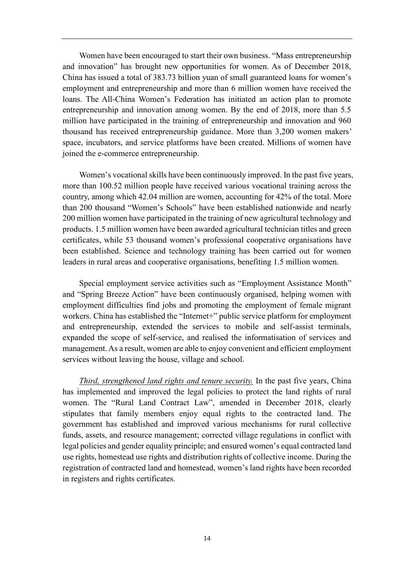Women have been encouraged to start their own business. "Mass entrepreneurship and innovation" has brought new opportunities for women. As of December 2018, China has issued a total of 383.73 billion yuan of small guaranteed loans for women's employment and entrepreneurship and more than 6 million women have received the loans. The All-China Women's Federation has initiated an action plan to promote entrepreneurship and innovation among women. By the end of 2018, more than 5.5 million have participated in the training of entrepreneurship and innovation and 960 thousand has received entrepreneurship guidance. More than 3,200 women makers' space, incubators, and service platforms have been created. Millions of women have joined the e-commerce entrepreneurship.

Women's vocational skills have been continuously improved. In the past five years, more than 100.52 million people have received various vocational training across the country, among which 42.04 million are women, accounting for 42% of the total. More than 200 thousand "Women's Schools" have been established nationwide and nearly 200 million women have participated in the training of new agricultural technology and products. 1.5 million women have been awarded agricultural technician titles and green certificates, while 53 thousand women's professional cooperative organisations have been established. Science and technology training has been carried out for women leaders in rural areas and cooperative organisations, benefiting 1.5 million women.

Special employment service activities such as "Employment Assistance Month" and "Spring Breeze Action" have been continuously organised, helping women with employment difficulties find jobs and promoting the employment of female migrant workers. China has established the "Internet+" public service platform for employment and entrepreneurship, extended the services to mobile and self-assist terminals, expanded the scope of self-service, and realised the informatisation of services and management. As a result, women are able to enjoy convenient and efficient employment services without leaving the house, village and school.

*Third, strengthened land rights and tenure security.* In the past five years, China has implemented and improved the legal policies to protect the land rights of rural women. The "Rural Land Contract Law", amended in December 2018, clearly stipulates that family members enjoy equal rights to the contracted land. The government has established and improved various mechanisms for rural collective funds, assets, and resource management; corrected village regulations in conflict with legal policies and gender equality principle; and ensured women's equal contracted land use rights, homestead use rights and distribution rights of collective income. During the registration of contracted land and homestead, women's land rights have been recorded in registers and rights certificates.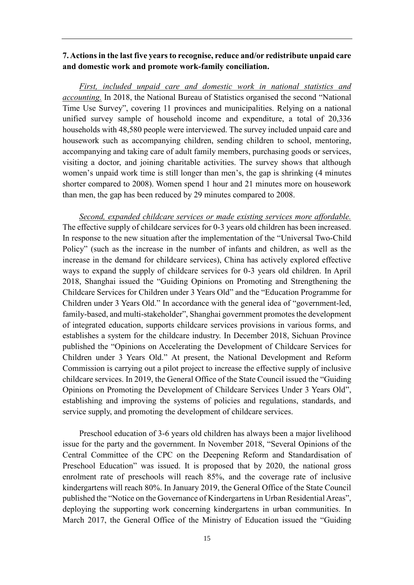#### <span id="page-18-0"></span>**7. Actions in the last five years to recognise, reduce and/or redistribute unpaid care and domestic work and promote work-family conciliation.**

*First, included unpaid care and domestic work in national statistics and accounting.* In 2018, the National Bureau of Statistics organised the second "National Time Use Survey", covering 11 provinces and municipalities. Relying on a national unified survey sample of household income and expenditure, a total of 20,336 households with 48,580 people were interviewed. The survey included unpaid care and housework such as accompanying children, sending children to school, mentoring, accompanying and taking care of adult family members, purchasing goods or services, visiting a doctor, and joining charitable activities. The survey shows that although women's unpaid work time is still longer than men's, the gap is shrinking (4 minutes shorter compared to 2008). Women spend 1 hour and 21 minutes more on housework than men, the gap has been reduced by 29 minutes compared to 2008.

*Second, expanded childcare services or made existing services more affordable.*  The effective supply of childcare services for 0-3 years old children has been increased. In response to the new situation after the implementation of the "Universal Two-Child Policy" (such as the increase in the number of infants and children, as well as the increase in the demand for childcare services), China has actively explored effective ways to expand the supply of childcare services for 0-3 years old children. In April 2018, Shanghai issued the "Guiding Opinions on Promoting and Strengthening the Childcare Services for Children under 3 Years Old" and the "Education Programme for Children under 3 Years Old." In accordance with the general idea of "government-led, family-based, and multi-stakeholder", Shanghai government promotes the development of integrated education, supports childcare services provisions in various forms, and establishes a system for the childcare industry. In December 2018, Sichuan Province published the "Opinions on Accelerating the Development of Childcare Services for Children under 3 Years Old." At present, the National Development and Reform Commission is carrying out a pilot project to increase the effective supply of inclusive childcare services. In 2019, the General Office of the State Council issued the "Guiding Opinions on Promoting the Development of Childcare Services Under 3 Years Old", establishing and improving the systems of policies and regulations, standards, and service supply, and promoting the development of childcare services.

Preschool education of 3-6 years old children has always been a major livelihood issue for the party and the government. In November 2018, "Several Opinions of the Central Committee of the CPC on the Deepening Reform and Standardisation of Preschool Education" was issued. It is proposed that by 2020, the national gross enrolment rate of preschools will reach 85%, and the coverage rate of inclusive kindergartens will reach 80%. In January 2019, the General Office of the State Council published the "Notice on the Governance of Kindergartens in Urban Residential Areas", deploying the supporting work concerning kindergartens in urban communities. In March 2017, the General Office of the Ministry of Education issued the "Guiding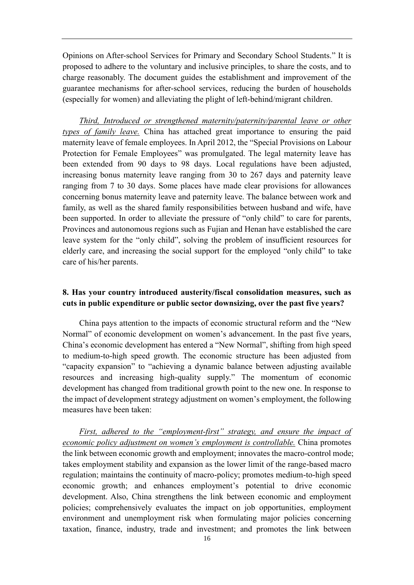Opinions on After-school Services for Primary and Secondary School Students." It is proposed to adhere to the voluntary and inclusive principles, to share the costs, and to charge reasonably. The document guides the establishment and improvement of the guarantee mechanisms for after-school services, reducing the burden of households (especially for women) and alleviating the plight of left-behind/migrant children.

*Third, Introduced or strengthened maternity/paternity/parental leave or other types of family leave.* China has attached great importance to ensuring the paid maternity leave of female employees. In April 2012, the "Special Provisions on Labour Protection for Female Employees" was promulgated. The legal maternity leave has been extended from 90 days to 98 days. Local regulations have been adjusted, increasing bonus maternity leave ranging from 30 to 267 days and paternity leave ranging from 7 to 30 days. Some places have made clear provisions for allowances concerning bonus maternity leave and paternity leave. The balance between work and family, as well as the shared family responsibilities between husband and wife, have been supported. In order to alleviate the pressure of "only child" to care for parents, Provinces and autonomous regions such as Fujian and Henan have established the care leave system for the "only child", solving the problem of insufficient resources for elderly care, and increasing the social support for the employed "only child" to take care of his/her parents.

#### <span id="page-19-0"></span>**8. Has your country introduced austerity/fiscal consolidation measures, such as cuts in public expenditure or public sector downsizing, over the past five years?**

China pays attention to the impacts of economic structural reform and the "New Normal" of economic development on women's advancement. In the past five years, China's economic development has entered a "New Normal", shifting from high speed to medium-to-high speed growth. The economic structure has been adjusted from "capacity expansion" to "achieving a dynamic balance between adjusting available resources and increasing high-quality supply." The momentum of economic development has changed from traditional growth point to the new one. In response to the impact of development strategy adjustment on women's employment, the following measures have been taken:

*First, adhered to the "employment-first" strategy, and ensure the impact of economic policy adjustment on women's employment is controllable.* China promotes the link between economic growth and employment; innovates the macro-control mode; takes employment stability and expansion as the lower limit of the range-based macro regulation; maintains the continuity of macro-policy; promotes medium-to-high speed economic growth; and enhances employment's potential to drive economic development. Also, China strengthens the link between economic and employment policies; comprehensively evaluates the impact on job opportunities, employment environment and unemployment risk when formulating major policies concerning taxation, finance, industry, trade and investment; and promotes the link between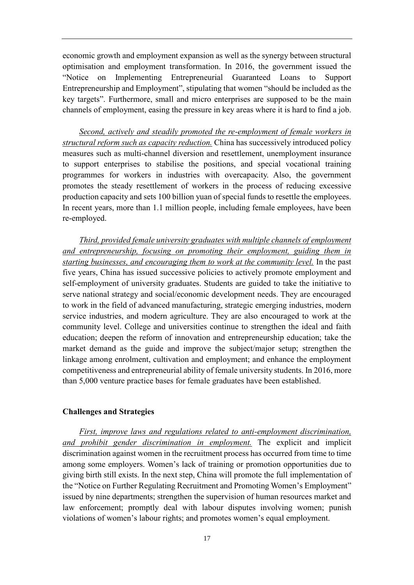economic growth and employment expansion as well as the synergy between structural optimisation and employment transformation. In 2016, the government issued the "Notice on Implementing Entrepreneurial Guaranteed Loans to Support Entrepreneurship and Employment", stipulating that women "should be included as the key targets". Furthermore, small and micro enterprises are supposed to be the main channels of employment, easing the pressure in key areas where it is hard to find a job.

*Second, actively and steadily promoted the re-employment of female workers in structural reform such as capacity reduction.* China has successively introduced policy measures such as multi-channel diversion and resettlement, unemployment insurance to support enterprises to stabilise the positions, and special vocational training programmes for workers in industries with overcapacity. Also, the government promotes the steady resettlement of workers in the process of reducing excessive production capacity and sets 100 billion yuan of special funds to resettle the employees. In recent years, more than 1.1 million people, including female employees, have been re-employed.

*Third, provided female university graduates with multiple channels of employment and entrepreneurship, focusing on promoting their employment, guiding them in starting businesses, and encouraging them to work at the community level.* In the past five years, China has issued successive policies to actively promote employment and self-employment of university graduates. Students are guided to take the initiative to serve national strategy and social/economic development needs. They are encouraged to work in the field of advanced manufacturing, strategic emerging industries, modern service industries, and modern agriculture. They are also encouraged to work at the community level. College and universities continue to strengthen the ideal and faith education; deepen the reform of innovation and entrepreneurship education; take the market demand as the guide and improve the subject/major setup; strengthen the linkage among enrolment, cultivation and employment; and enhance the employment competitiveness and entrepreneurial ability of female university students. In 2016, more than 5,000 venture practice bases for female graduates have been established.

#### <span id="page-20-0"></span>**Challenges and Strategies**

*First, improve laws and regulations related to anti-employment discrimination, and prohibit gender discrimination in employment.* The explicit and implicit discrimination against women in the recruitment process has occurred from time to time among some employers. Women's lack of training or promotion opportunities due to giving birth still exists. In the next step, China will promote the full implementation of the "Notice on Further Regulating Recruitment and Promoting Women's Employment" issued by nine departments; strengthen the supervision of human resources market and law enforcement; promptly deal with labour disputes involving women; punish violations of women's labour rights; and promotes women's equal employment.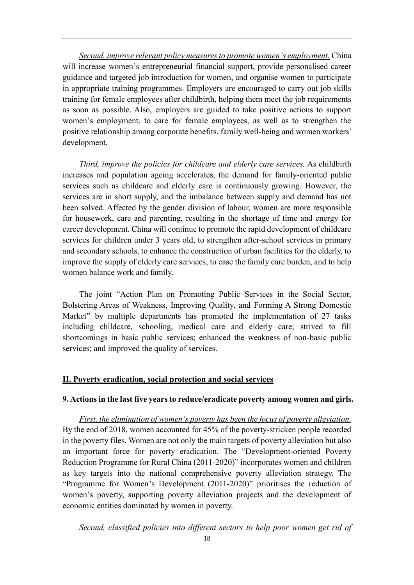*Second, improve relevant policy measures to promote women's employment.* China will increase women's entrepreneurial financial support, provide personalised career guidance and targeted job introduction for women, and organise women to participate in appropriate training programmes. Employers are encouraged to carry out job skills training for female employees after childbirth, helping them meet the job requirements as soon as possible. Also, employers are guided to take positive actions to support women's employment, to care for female employees, as well as to strengthen the positive relationship among corporate benefits, family well-being and women workers' development.

*Third, improve the policies for childcare and elderly care services.* As childbirth increases and population ageing accelerates, the demand for family-oriented public services such as childcare and elderly care is continuously growing. However, the services are in short supply, and the imbalance between supply and demand has not been solved. Affected by the gender division of labour, women are more responsible for housework, care and parenting, resulting in the shortage of time and energy for career development. China will continue to promote the rapid development of childcare services for children under 3 years old, to strengthen after-school services in primary and secondary schools, to enhance the construction of urban facilities for the elderly, to improve the supply of elderly care services, to ease the family care burden, and to help women balance work and family.

The joint "Action Plan on Promoting Public Services in the Social Sector, Bolstering Areas of Weakness, Improving Quality, and Forming A Strong Domestic Market" by multiple departments has promoted the implementation of 27 tasks including childcare, schooling, medical care and elderly care; strived to fill shortcomings in basic public services; enhanced the weakness of non-basic public services; and improved the quality of services.

#### <span id="page-21-0"></span>**II. Poverty eradication, social protection and social services**

#### <span id="page-21-1"></span>**9. Actions in the last five years to reduce/eradicate poverty among women and girls.**

*First, the elimination of women's poverty has been the focus of poverty alleviation.* By the end of 2018, women accounted for 45% of the poverty-stricken people recorded in the poverty files. Women are not only the main targets of poverty alleviation but also an important force for poverty eradication. The "Development-oriented Poverty Reduction Programme for Rural China (2011-2020)" incorporates women and children as key targets into the national comprehensive poverty alleviation strategy. The "Programme for Women's Development (2011-2020)" prioritises the reduction of women's poverty, supporting poverty alleviation projects and the development of economic entities dominated by women in poverty.

*Second, classified policies into different sectors to help poor women get rid of*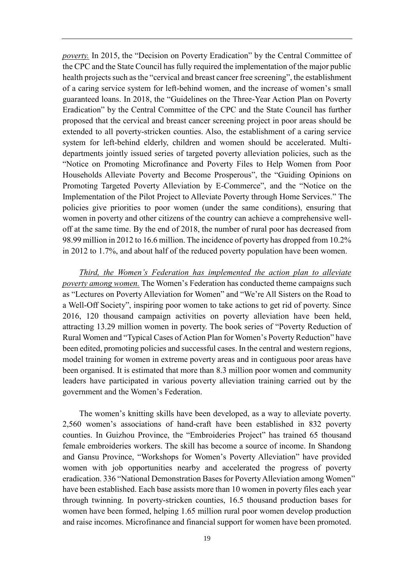*poverty.* In 2015, the "Decision on Poverty Eradication" by the Central Committee of the CPC and the State Council has fully required the implementation of the major public health projects such as the "cervical and breast cancer free screening", the establishment of a caring service system for left-behind women, and the increase of women's small guaranteed loans. In 2018, the "Guidelines on the Three-Year Action Plan on Poverty Eradication" by the Central Committee of the CPC and the State Council has further proposed that the cervical and breast cancer screening project in poor areas should be extended to all poverty-stricken counties. Also, the establishment of a caring service system for left-behind elderly, children and women should be accelerated. Multidepartments jointly issued series of targeted poverty alleviation policies, such as the "Notice on Promoting Microfinance and Poverty Files to Help Women from Poor Households Alleviate Poverty and Become Prosperous", the "Guiding Opinions on Promoting Targeted Poverty Alleviation by E-Commerce", and the "Notice on the Implementation of the Pilot Project to Alleviate Poverty through Home Services." The policies give priorities to poor women (under the same conditions), ensuring that women in poverty and other citizens of the country can achieve a comprehensive welloff at the same time. By the end of 2018, the number of rural poor has decreased from 98.99 million in 2012 to 16.6 million. The incidence of poverty has dropped from 10.2% in 2012 to 1.7%, and about half of the reduced poverty population have been women.

*Third, the Women's Federation has implemented the action plan to alleviate poverty among women.* The Women's Federation has conducted theme campaigns such as "Lectures on Poverty Alleviation for Women" and "We're All Sisters on the Road to a Well-Off Society", inspiring poor women to take actions to get rid of poverty. Since 2016, 120 thousand campaign activities on poverty alleviation have been held, attracting 13.29 million women in poverty. The book series of "Poverty Reduction of Rural Women and "Typical Cases of Action Plan for Women's Poverty Reduction" have been edited, promoting policies and successful cases. In the central and western regions, model training for women in extreme poverty areas and in contiguous poor areas have been organised. It is estimated that more than 8.3 million poor women and community leaders have participated in various poverty alleviation training carried out by the government and the Women's Federation.

The women's knitting skills have been developed, as a way to alleviate poverty. 2,560 women's associations of hand-craft have been established in 832 poverty counties. In Guizhou Province, the "Embroideries Project" has trained 65 thousand female embroideries workers. The skill has become a source of income. In Shandong and Gansu Province, "Workshops for Women's Poverty Alleviation" have provided women with job opportunities nearby and accelerated the progress of poverty eradication. 336 "National Demonstration Bases for Poverty Alleviation among Women" have been established. Each base assists more than 10 women in poverty files each year through twinning. In poverty-stricken counties, 16.5 thousand production bases for women have been formed, helping 1.65 million rural poor women develop production and raise incomes. Microfinance and financial support for women have been promoted.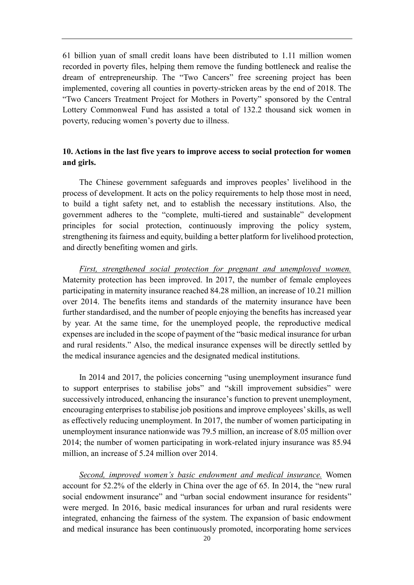61 billion yuan of small credit loans have been distributed to 1.11 million women recorded in poverty files, helping them remove the funding bottleneck and realise the dream of entrepreneurship. The "Two Cancers" free screening project has been implemented, covering all counties in poverty-stricken areas by the end of 2018. The "Two Cancers Treatment Project for Mothers in Poverty" sponsored by the Central Lottery Commonweal Fund has assisted a total of 132.2 thousand sick women in poverty, reducing women's poverty due to illness.

## <span id="page-23-0"></span>**10. Actions in the last five years to improve access to social protection for women and girls.**

The Chinese government safeguards and improves peoples' livelihood in the process of development. It acts on the policy requirements to help those most in need, to build a tight safety net, and to establish the necessary institutions. Also, the government adheres to the "complete, multi-tiered and sustainable" development principles for social protection, continuously improving the policy system, strengthening its fairness and equity, building a better platform for livelihood protection, and directly benefiting women and girls.

*First, strengthened social protection for pregnant and unemployed women.* Maternity protection has been improved. In 2017, the number of female employees participating in maternity insurance reached 84.28 million, an increase of 10.21 million over 2014. The benefits items and standards of the maternity insurance have been further standardised, and the number of people enjoying the benefits has increased year by year. At the same time, for the unemployed people, the reproductive medical expenses are included in the scope of payment of the "basic medical insurance for urban and rural residents." Also, the medical insurance expenses will be directly settled by the medical insurance agencies and the designated medical institutions.

In 2014 and 2017, the policies concerning "using unemployment insurance fund to support enterprises to stabilise jobs" and "skill improvement subsidies" were successively introduced, enhancing the insurance's function to prevent unemployment, encouraging enterprises to stabilise job positions and improve employees' skills, as well as effectively reducing unemployment. In 2017, the number of women participating in unemployment insurance nationwide was 79.5 million, an increase of 8.05 million over 2014; the number of women participating in work-related injury insurance was 85.94 million, an increase of 5.24 million over 2014.

*Second, improved women's basic endowment and medical insurance.* Women account for 52.2% of the elderly in China over the age of 65. In 2014, the "new rural social endowment insurance" and "urban social endowment insurance for residents" were merged. In 2016, basic medical insurances for urban and rural residents were integrated, enhancing the fairness of the system. The expansion of basic endowment and medical insurance has been continuously promoted, incorporating home services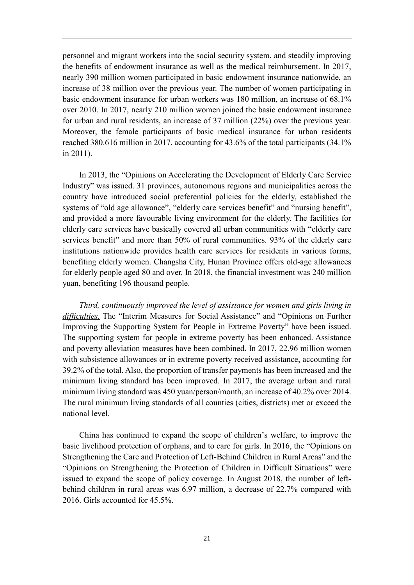personnel and migrant workers into the social security system, and steadily improving the benefits of endowment insurance as well as the medical reimbursement. In 2017, nearly 390 million women participated in basic endowment insurance nationwide, an increase of 38 million over the previous year. The number of women participating in basic endowment insurance for urban workers was 180 million, an increase of 68.1% over 2010. In 2017, nearly 210 million women joined the basic endowment insurance for urban and rural residents, an increase of 37 million (22%) over the previous year. Moreover, the female participants of basic medical insurance for urban residents reached 380.616 million in 2017, accounting for 43.6% of the total participants (34.1% in 2011).

In 2013, the "Opinions on Accelerating the Development of Elderly Care Service Industry" was issued. 31 provinces, autonomous regions and municipalities across the country have introduced social preferential policies for the elderly, established the systems of "old age allowance", "elderly care services benefit" and "nursing benefit", and provided a more favourable living environment for the elderly. The facilities for elderly care services have basically covered all urban communities with "elderly care services benefit" and more than 50% of rural communities. 93% of the elderly care institutions nationwide provides health care services for residents in various forms, benefiting elderly women. Changsha City, Hunan Province offers old-age allowances for elderly people aged 80 and over. In 2018, the financial investment was 240 million yuan, benefiting 196 thousand people.

*Third, continuously improved the level of assistance for women and girls living in difficulties.* The "Interim Measures for Social Assistance" and "Opinions on Further Improving the Supporting System for People in Extreme Poverty" have been issued. The supporting system for people in extreme poverty has been enhanced. Assistance and poverty alleviation measures have been combined. In 2017, 22.96 million women with subsistence allowances or in extreme poverty received assistance, accounting for 39.2% of the total. Also, the proportion of transfer payments has been increased and the minimum living standard has been improved. In 2017, the average urban and rural minimum living standard was 450 yuan/person/month, an increase of 40.2% over 2014. The rural minimum living standards of all counties (cities, districts) met or exceed the national level.

China has continued to expand the scope of children's welfare, to improve the basic livelihood protection of orphans, and to care for girls. In 2016, the "Opinions on Strengthening the Care and Protection of Left-Behind Children in Rural Areas" and the "Opinions on Strengthening the Protection of Children in Difficult Situations" were issued to expand the scope of policy coverage. In August 2018, the number of leftbehind children in rural areas was 6.97 million, a decrease of 22.7% compared with 2016. Girls accounted for 45.5%.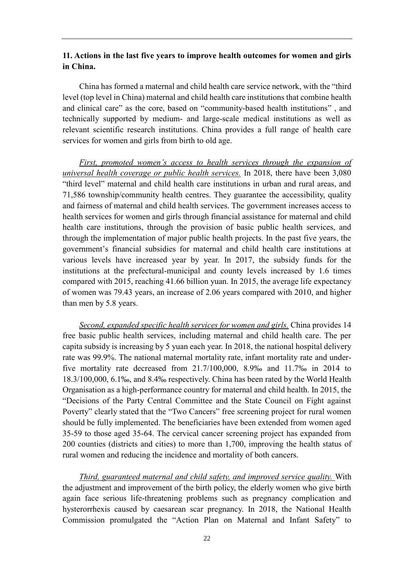#### <span id="page-25-0"></span>**11. Actions in the last five years to improve health outcomes for women and girls in China.**

China has formed a maternal and child health care service network, with the "third level (top level in China) maternal and child health care institutions that combine health and clinical care" as the core, based on "community-based health institutions" , and technically supported by medium- and large-scale medical institutions as well as relevant scientific research institutions. China provides a full range of health care services for women and girls from birth to old age.

*First, promoted women's access to health services through the expansion of universal health coverage or public health services.* In 2018, there have been 3,080 "third level" maternal and child health care institutions in urban and rural areas, and 71,586 township/community health centres. They guarantee the accessibility, quality and fairness of maternal and child health services. The government increases access to health services for women and girls through financial assistance for maternal and child health care institutions, through the provision of basic public health services, and through the implementation of major public health projects. In the past five years, the government's financial subsidies for maternal and child health care institutions at various levels have increased year by year. In 2017, the subsidy funds for the institutions at the prefectural-municipal and county levels increased by 1.6 times compared with 2015, reaching 41.66 billion yuan. In 2015, the average life expectancy of women was 79.43 years, an increase of 2.06 years compared with 2010, and higher than men by 5.8 years.

*Second, expanded specific health services for women and girls.* China provides 14 free basic public health services, including maternal and child health care. The per capita subsidy is increasing by 5 yuan each year. In 2018, the national hospital delivery rate was 99.9%. The national maternal mortality rate, infant mortality rate and underfive mortality rate decreased from 21.7/100,000, 8.9‰ and 11.7‰ in 2014 to 18.3/100,000, 6.1‰, and 8.4‰ respectively. China has been rated by the World Health Organisation as a high-performance country for maternal and child health. In 2015, the "Decisions of the Party Central Committee and the State Council on Fight against Poverty" clearly stated that the "Two Cancers" free screening project for rural women should be fully implemented. The beneficiaries have been extended from women aged 35-59 to those aged 35-64. The cervical cancer screening project has expanded from 200 counties (districts and cities) to more than 1,700, improving the health status of rural women and reducing the incidence and mortality of both cancers.

*Third, guaranteed maternal and child safety, and improved service quality.* With the adjustment and improvement of the birth policy, the elderly women who give birth again face serious life-threatening problems such as pregnancy complication and hysterorrhexis caused by caesarean scar pregnancy. In 2018, the National Health Commission promulgated the "Action Plan on Maternal and Infant Safety" to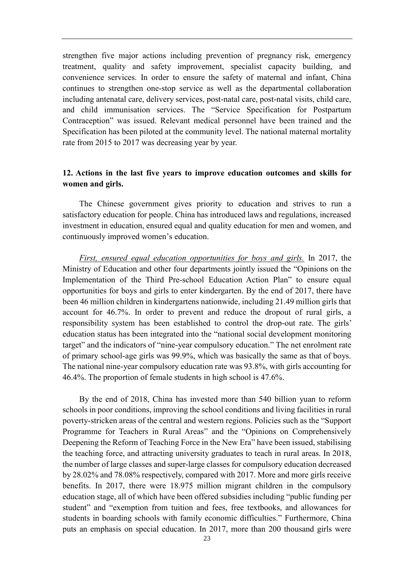strengthen five major actions including prevention of pregnancy risk, emergency treatment, quality and safety improvement, specialist capacity building, and convenience services. In order to ensure the safety of maternal and infant, China continues to strengthen one-stop service as well as the departmental collaboration including antenatal care, delivery services, post-natal care, post-natal visits, child care, and child immunisation services. The "Service Specification for Postpartum Contraception" was issued. Relevant medical personnel have been trained and the Specification has been piloted at the community level. The national maternal mortality rate from 2015 to 2017 was decreasing year by year.

#### <span id="page-26-0"></span>**12. Actions in the last five years to improve education outcomes and skills for women and girls.**

The Chinese government gives priority to education and strives to run a satisfactory education for people. China has introduced laws and regulations, increased investment in education, ensured equal and quality education for men and women, and continuously improved women's education.

*First, ensured equal education opportunities for boys and girls.* In 2017, the Ministry of Education and other four departments jointly issued the "Opinions on the Implementation of the Third Pre-school Education Action Plan" to ensure equal opportunities for boys and girls to enter kindergarten. By the end of 2017, there have been 46 million children in kindergartens nationwide, including 21.49 million girls that account for 46.7%. In order to prevent and reduce the dropout of rural girls, a responsibility system has been established to control the drop-out rate. The girls' education status has been integrated into the "national social development monitoring target" and the indicators of "nine-year compulsory education." The net enrolment rate of primary school-age girls was 99.9%, which was basically the same as that of boys. The national nine-year compulsory education rate was 93.8%, with girls accounting for 46.4%. The proportion of female students in high school is 47.6%.

By the end of 2018, China has invested more than 540 billion yuan to reform schools in poor conditions, improving the school conditions and living facilities in rural poverty-stricken areas of the central and western regions. Policies such as the "Support Programme for Teachers in Rural Areas" and the "Opinions on Comprehensively Deepening the Reform of Teaching Force in the New Era" have been issued, stabilising the teaching force, and attracting university graduates to teach in rural areas. In 2018, the number of large classes and super-large classes for compulsory education decreased by 28.02% and 78.08% respectively, compared with 2017. More and more girls receive benefits. In 2017, there were 18.975 million migrant children in the compulsory education stage, all of which have been offered subsidies including "public funding per student" and "exemption from tuition and fees, free textbooks, and allowances for students in boarding schools with family economic difficulties." Furthermore, China puts an emphasis on special education. In 2017, more than 200 thousand girls were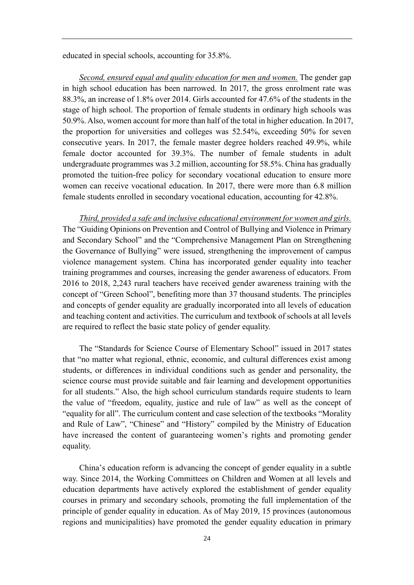educated in special schools, accounting for 35.8%.

*Second, ensured equal and quality education for men and women.* The gender gap in high school education has been narrowed. In 2017, the gross enrolment rate was 88.3%, an increase of 1.8% over 2014. Girls accounted for 47.6% of the students in the stage of high school. The proportion of female students in ordinary high schools was 50.9%. Also, women account for more than half of the total in higher education. In 2017, the proportion for universities and colleges was 52.54%, exceeding 50% for seven consecutive years. In 2017, the female master degree holders reached 49.9%, while female doctor accounted for 39.3%. The number of female students in adult undergraduate programmes was 3.2 million, accounting for 58.5%. China has gradually promoted the tuition-free policy for secondary vocational education to ensure more women can receive vocational education. In 2017, there were more than 6.8 million female students enrolled in secondary vocational education, accounting for 42.8%.

*Third, provided a safe and inclusive educational environment for women and girls.* The "Guiding Opinions on Prevention and Control of Bullying and Violence in Primary and Secondary School" and the "Comprehensive Management Plan on Strengthening the Governance of Bullying" were issued, strengthening the improvement of campus violence management system. China has incorporated gender equality into teacher training programmes and courses, increasing the gender awareness of educators. From 2016 to 2018, 2,243 rural teachers have received gender awareness training with the concept of "Green School", benefiting more than 37 thousand students. The principles and concepts of gender equality are gradually incorporated into all levels of education and teaching content and activities. The curriculum and textbook of schools at all levels are required to reflect the basic state policy of gender equality.

The "Standards for Science Course of Elementary School" issued in 2017 states that "no matter what regional, ethnic, economic, and cultural differences exist among students, or differences in individual conditions such as gender and personality, the science course must provide suitable and fair learning and development opportunities for all students." Also, the high school curriculum standards require students to learn the value of "freedom, equality, justice and rule of law" as well as the concept of "equality for all". The curriculum content and case selection of the textbooks "Morality and Rule of Law", "Chinese" and "History" compiled by the Ministry of Education have increased the content of guaranteeing women's rights and promoting gender equality.

China's education reform is advancing the concept of gender equality in a subtle way. Since 2014, the Working Committees on Children and Women at all levels and education departments have actively explored the establishment of gender equality courses in primary and secondary schools, promoting the full implementation of the principle of gender equality in education. As of May 2019, 15 provinces (autonomous regions and municipalities) have promoted the gender equality education in primary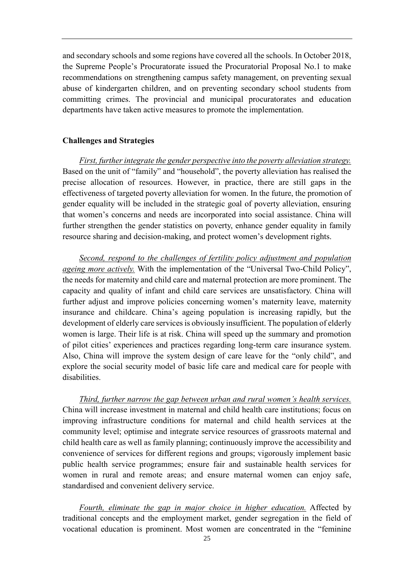and secondary schools and some regions have covered all the schools. In October 2018, the Supreme People's Procuratorate issued the Procuratorial Proposal No.1 to make recommendations on strengthening campus safety management, on preventing sexual abuse of kindergarten children, and on preventing secondary school students from committing crimes. The provincial and municipal procuratorates and education departments have taken active measures to promote the implementation.

#### <span id="page-28-0"></span>**Challenges and Strategies**

*First, further integrate the gender perspective into the poverty alleviation strategy.* Based on the unit of "family" and "household", the poverty alleviation has realised the precise allocation of resources. However, in practice, there are still gaps in the effectiveness of targeted poverty alleviation for women. In the future, the promotion of gender equality will be included in the strategic goal of poverty alleviation, ensuring that women's concerns and needs are incorporated into social assistance. China will further strengthen the gender statistics on poverty, enhance gender equality in family resource sharing and decision-making, and protect women's development rights.

*Second, respond to the challenges of fertility policy adjustment and population ageing more actively.* With the implementation of the "Universal Two-Child Policy", the needs for maternity and child care and maternal protection are more prominent. The capacity and quality of infant and child care services are unsatisfactory. China will further adjust and improve policies concerning women's maternity leave, maternity insurance and childcare. China's ageing population is increasing rapidly, but the development of elderly care services is obviously insufficient. The population of elderly women is large. Their life is at risk. China will speed up the summary and promotion of pilot cities' experiences and practices regarding long-term care insurance system. Also, China will improve the system design of care leave for the "only child", and explore the social security model of basic life care and medical care for people with disabilities.

*Third, further narrow the gap between urban and rural women's health services.* China will increase investment in maternal and child health care institutions; focus on improving infrastructure conditions for maternal and child health services at the community level; optimise and integrate service resources of grassroots maternal and child health care as well as family planning; continuously improve the accessibility and convenience of services for different regions and groups; vigorously implement basic public health service programmes; ensure fair and sustainable health services for women in rural and remote areas; and ensure maternal women can enjoy safe, standardised and convenient delivery service.

*Fourth, eliminate the gap in major choice in higher education.* Affected by traditional concepts and the employment market, gender segregation in the field of vocational education is prominent. Most women are concentrated in the "feminine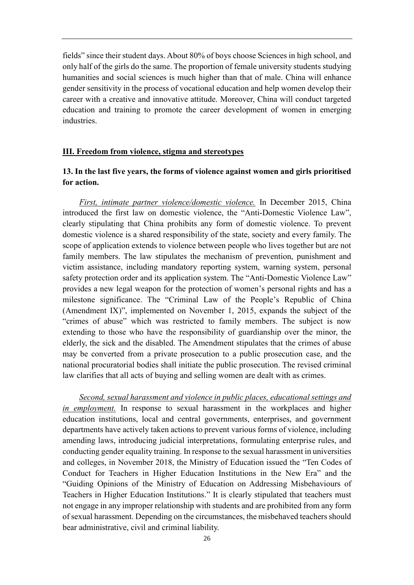fields" since their student days. About 80% of boys choose Sciences in high school, and only half of the girls do the same. The proportion of female university students studying humanities and social sciences is much higher than that of male. China will enhance gender sensitivity in the process of vocational education and help women develop their career with a creative and innovative attitude. Moreover, China will conduct targeted education and training to promote the career development of women in emerging industries.

#### <span id="page-29-0"></span>**III. Freedom from violence, stigma and stereotypes**

## <span id="page-29-1"></span>**13. In the last five years, the forms of violence against women and girls prioritised for action.**

*First, intimate partner violence/domestic violence.* In December 2015, China introduced the first law on domestic violence, the "Anti-Domestic Violence Law", clearly stipulating that China prohibits any form of domestic violence. To prevent domestic violence is a shared responsibility of the state, society and every family. The scope of application extends to violence between people who lives together but are not family members. The law stipulates the mechanism of prevention, punishment and victim assistance, including mandatory reporting system, warning system, personal safety protection order and its application system. The "Anti-Domestic Violence Law" provides a new legal weapon for the protection of women's personal rights and has a milestone significance. The "Criminal Law of the People's Republic of China (Amendment IX)", implemented on November 1, 2015, expands the subject of the "crimes of abuse" which was restricted to family members. The subject is now extending to those who have the responsibility of guardianship over the minor, the elderly, the sick and the disabled. The Amendment stipulates that the crimes of abuse may be converted from a private prosecution to a public prosecution case, and the national procuratorial bodies shall initiate the public prosecution. The revised criminal law clarifies that all acts of buying and selling women are dealt with as crimes.

*Second, sexual harassment and violence in public places, educational settings and in employment.* In response to sexual harassment in the workplaces and higher education institutions, local and central governments, enterprises, and government departments have actively taken actions to prevent various forms of violence, including amending laws, introducing judicial interpretations, formulating enterprise rules, and conducting gender equality training. In response to the sexual harassment in universities and colleges, in November 2018, the Ministry of Education issued the "Ten Codes of Conduct for Teachers in Higher Education Institutions in the New Era" and the "Guiding Opinions of the Ministry of Education on Addressing Misbehaviours of Teachers in Higher Education Institutions." It is clearly stipulated that teachers must not engage in any improper relationship with students and are prohibited from any form of sexual harassment. Depending on the circumstances, the misbehaved teachers should bear administrative, civil and criminal liability.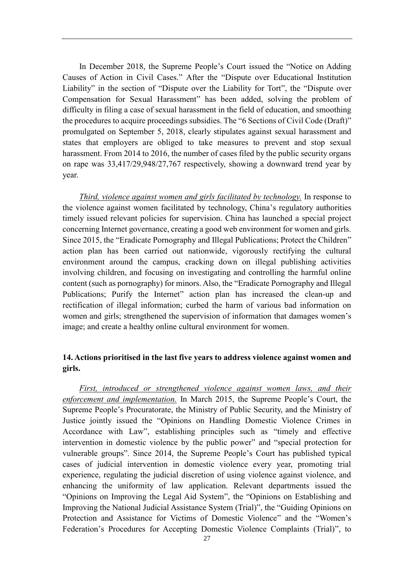In December 2018, the Supreme People's Court issued the "Notice on Adding Causes of Action in Civil Cases." After the "Dispute over Educational Institution Liability" in the section of "Dispute over the Liability for Tort", the "Dispute over Compensation for Sexual Harassment" has been added, solving the problem of difficulty in filing a case of sexual harassment in the field of education, and smoothing the procedures to acquire proceedings subsidies. The "6 Sections of Civil Code (Draft)" promulgated on September 5, 2018, clearly stipulates against sexual harassment and states that employers are obliged to take measures to prevent and stop sexual harassment. From 2014 to 2016, the number of cases filed by the public security organs on rape was 33,417/29,948/27,767 respectively, showing a downward trend year by year.

*Third, violence against women and girls facilitated by technology.* In response to the violence against women facilitated by technology, China's regulatory authorities timely issued relevant policies for supervision. China has launched a special project concerning Internet governance, creating a good web environment for women and girls. Since 2015, the "Eradicate Pornography and Illegal Publications; Protect the Children" action plan has been carried out nationwide, vigorously rectifying the cultural environment around the campus, cracking down on illegal publishing activities involving children, and focusing on investigating and controlling the harmful online content (such as pornography) for minors. Also, the "Eradicate Pornography and Illegal Publications; Purify the Internet" action plan has increased the clean-up and rectification of illegal information; curbed the harm of various bad information on women and girls; strengthened the supervision of information that damages women's image; and create a healthy online cultural environment for women.

## <span id="page-30-0"></span>**14. Actions prioritised in the last five years to address violence against women and girls.**

*First, introduced or strengthened violence against women laws, and their enforcement and implementation.* In March 2015, the Supreme People's Court, the Supreme People's Procuratorate, the Ministry of Public Security, and the Ministry of Justice jointly issued the "Opinions on Handling Domestic Violence Crimes in Accordance with Law", establishing principles such as "timely and effective intervention in domestic violence by the public power" and "special protection for vulnerable groups". Since 2014, the Supreme People's Court has published typical cases of judicial intervention in domestic violence every year, promoting trial experience, regulating the judicial discretion of using violence against violence, and enhancing the uniformity of law application. Relevant departments issued the "Opinions on Improving the Legal Aid System", the "Opinions on Establishing and Improving the National Judicial Assistance System (Trial)", the "Guiding Opinions on Protection and Assistance for Victims of Domestic Violence" and the "Women's Federation's Procedures for Accepting Domestic Violence Complaints (Trial)", to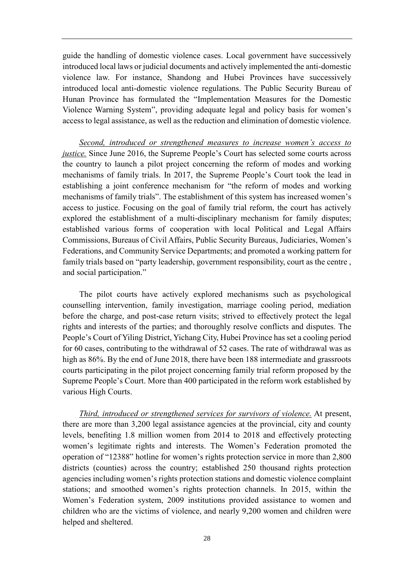guide the handling of domestic violence cases. Local government have successively introduced local laws or judicial documents and actively implemented the anti-domestic violence law. For instance, Shandong and Hubei Provinces have successively introduced local anti-domestic violence regulations. The Public Security Bureau of Hunan Province has formulated the "Implementation Measures for the Domestic Violence Warning System", providing adequate legal and policy basis for women's access to legal assistance, as well as the reduction and elimination of domestic violence.

*Second, introduced or strengthened measures to increase women's access to justice.* Since June 2016, the Supreme People's Court has selected some courts across the country to launch a pilot project concerning the reform of modes and working mechanisms of family trials. In 2017, the Supreme People's Court took the lead in establishing a joint conference mechanism for "the reform of modes and working mechanisms of family trials". The establishment of this system has increased women's access to justice. Focusing on the goal of family trial reform, the court has actively explored the establishment of a multi-disciplinary mechanism for family disputes; established various forms of cooperation with local Political and Legal Affairs Commissions, Bureaus of Civil Affairs, Public Security Bureaus, Judiciaries, Women's Federations, and Community Service Departments; and promoted a working pattern for family trials based on "party leadership, government responsibility, court as the centre, and social participation."

The pilot courts have actively explored mechanisms such as psychological counselling intervention, family investigation, marriage cooling period, mediation before the charge, and post-case return visits; strived to effectively protect the legal rights and interests of the parties; and thoroughly resolve conflicts and disputes. The People's Court of Yiling District, Yichang City, Hubei Province has set a cooling period for 60 cases, contributing to the withdrawal of 52 cases. The rate of withdrawal was as high as 86%. By the end of June 2018, there have been 188 intermediate and grassroots courts participating in the pilot project concerning family trial reform proposed by the Supreme People's Court. More than 400 participated in the reform work established by various High Courts.

*Third, introduced or strengthened services for survivors of violence.* At present, there are more than 3,200 legal assistance agencies at the provincial, city and county levels, benefiting 1.8 million women from 2014 to 2018 and effectively protecting women's legitimate rights and interests. The Women's Federation promoted the operation of "12388" hotline for women's rights protection service in more than 2,800 districts (counties) across the country; established 250 thousand rights protection agencies including women's rights protection stations and domestic violence complaint stations; and smoothed women's rights protection channels. In 2015, within the Women's Federation system, 2009 institutions provided assistance to women and children who are the victims of violence, and nearly 9,200 women and children were helped and sheltered.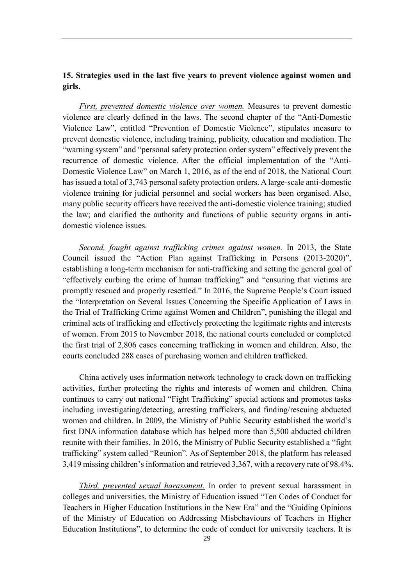#### <span id="page-32-0"></span>**15. Strategies used in the last five years to prevent violence against women and girls.**

*First, prevented domestic violence over women.* Measures to prevent domestic violence are clearly defined in the laws. The second chapter of the "Anti-Domestic Violence Law", entitled "Prevention of Domestic Violence", stipulates measure to prevent domestic violence, including training, publicity, education and mediation. The "warning system" and "personal safety protection order system" effectively prevent the recurrence of domestic violence. After the official implementation of the "Anti-Domestic Violence Law" on March 1, 2016, as of the end of 2018, the National Court has issued a total of 3,743 personal safety protection orders. A large-scale anti-domestic violence training for judicial personnel and social workers has been organised. Also, many public security officers have received the anti-domestic violence training; studied the law; and clarified the authority and functions of public security organs in antidomestic violence issues.

*Second, fought against trafficking crimes against women.* In 2013, the State Council issued the "Action Plan against Trafficking in Persons (2013-2020)", establishing a long-term mechanism for anti-trafficking and setting the general goal of "effectively curbing the crime of human trafficking" and "ensuring that victims are promptly rescued and properly resettled." In 2016, the Supreme People's Court issued the "Interpretation on Several Issues Concerning the Specific Application of Laws in the Trial of Trafficking Crime against Women and Children", punishing the illegal and criminal acts of trafficking and effectively protecting the legitimate rights and interests of women. From 2015 to November 2018, the national courts concluded or completed the first trial of 2,806 cases concerning trafficking in women and children. Also, the courts concluded 288 cases of purchasing women and children trafficked.

China actively uses information network technology to crack down on trafficking activities, further protecting the rights and interests of women and children. China continues to carry out national "Fight Trafficking" special actions and promotes tasks including investigating/detecting, arresting traffickers, and finding/rescuing abducted women and children. In 2009, the Ministry of Public Security established the world's first DNA information database which has helped more than 5,500 abducted children reunite with their families. In 2016, the Ministry of Public Security established a "fight trafficking" system called "Reunion". As of September 2018, the platform has released 3,419 missing children's information and retrieved 3,367, with a recovery rate of 98.4%.

*Third, prevented sexual harassment.* In order to prevent sexual harassment in colleges and universities, the Ministry of Education issued "Ten Codes of Conduct for Teachers in Higher Education Institutions in the New Era" and the "Guiding Opinions of the Ministry of Education on Addressing Misbehaviours of Teachers in Higher Education Institutions", to determine the code of conduct for university teachers. It is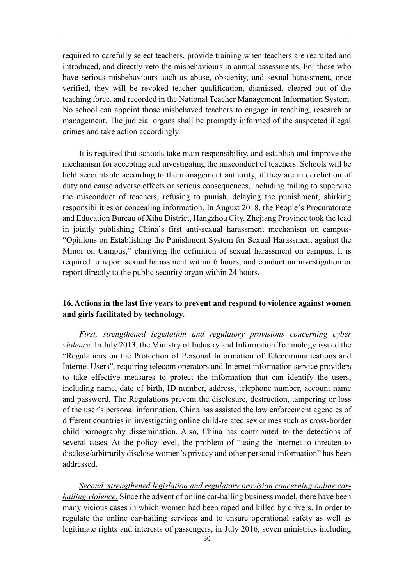required to carefully select teachers, provide training when teachers are recruited and introduced, and directly veto the misbehaviours in annual assessments. For those who have serious misbehaviours such as abuse, obscenity, and sexual harassment, once verified, they will be revoked teacher qualification, dismissed, cleared out of the teaching force, and recorded in the National Teacher Management Information System. No school can appoint those misbehaved teachers to engage in teaching, research or management. The judicial organs shall be promptly informed of the suspected illegal crimes and take action accordingly.

It is required that schools take main responsibility, and establish and improve the mechanism for accepting and investigating the misconduct of teachers. Schools will be held accountable according to the management authority, if they are in dereliction of duty and cause adverse effects or serious consequences, including failing to supervise the misconduct of teachers, refusing to punish, delaying the punishment, shirking responsibilities or concealing information. In August 2018, the People's Procuratorate and Education Bureau of Xihu District, Hangzhou City, Zhejiang Province took the lead in jointly publishing China's first anti-sexual harassment mechanism on campus- "Opinions on Establishing the Punishment System for Sexual Harassment against the Minor on Campus," clarifying the definition of sexual harassment on campus. It is required to report sexual harassment within 6 hours, and conduct an investigation or report directly to the public security organ within 24 hours.

#### <span id="page-33-0"></span>**16. Actions in the last five years to prevent and respond to violence against women and girls facilitated by technology.**

*First, strengthened legislation and regulatory provisions concerning cyber violence.* In July 2013, the Ministry of Industry and Information Technology issued the "Regulations on the Protection of Personal Information of Telecommunications and Internet Users", requiring telecom operators and Internet information service providers to take effective measures to protect the information that can identify the users, including name, date of birth, ID number, address, telephone number, account name and password. The Regulations prevent the disclosure, destruction, tampering or loss of the user's personal information. China has assisted the law enforcement agencies of different countries in investigating online child-related sex crimes such as cross-border child pornography dissemination. Also, China has contributed to the detections of several cases. At the policy level, the problem of "using the Internet to threaten to disclose/arbitrarily disclose women's privacy and other personal information" has been addressed.

*Second, strengthened legislation and regulatory provision concerning online carhailing violence.* Since the advent of online car-hailing business model, there have been many vicious cases in which women had been raped and killed by drivers. In order to regulate the online car-hailing services and to ensure operational safety as well as legitimate rights and interests of passengers, in July 2016, seven ministries including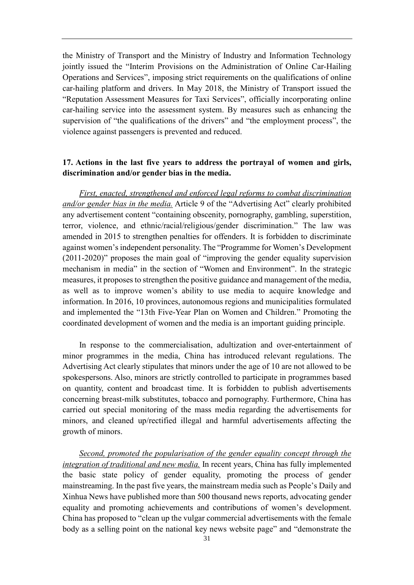the Ministry of Transport and the Ministry of Industry and Information Technology jointly issued the "Interim Provisions on the Administration of Online Car-Hailing Operations and Services", imposing strict requirements on the qualifications of online car-hailing platform and drivers. In May 2018, the Ministry of Transport issued the "Reputation Assessment Measures for Taxi Services", officially incorporating online car-hailing service into the assessment system. By measures such as enhancing the supervision of "the qualifications of the drivers" and "the employment process", the violence against passengers is prevented and reduced.

#### <span id="page-34-0"></span>**17. Actions in the last five years to address the portrayal of women and girls, discrimination and/or gender bias in the media.**

*First, enacted, strengthened and enforced legal reforms to combat discrimination and/or gender bias in the media.* Article 9 of the "Advertising Act" clearly prohibited any advertisement content "containing obscenity, pornography, gambling, superstition, terror, violence, and ethnic/racial/religious/gender discrimination." The law was amended in 2015 to strengthen penalties for offenders. It is forbidden to discriminate against women's independent personality. The "Programme for Women's Development (2011-2020)" proposes the main goal of "improving the gender equality supervision mechanism in media" in the section of "Women and Environment". In the strategic measures, it proposes to strengthen the positive guidance and management of the media, as well as to improve women's ability to use media to acquire knowledge and information. In 2016, 10 provinces, autonomous regions and municipalities formulated and implemented the "13th Five-Year Plan on Women and Children." Promoting the coordinated development of women and the media is an important guiding principle.

In response to the commercialisation, adultization and over-entertainment of minor programmes in the media, China has introduced relevant regulations. The Advertising Act clearly stipulates that minors under the age of 10 are not allowed to be spokespersons. Also, minors are strictly controlled to participate in programmes based on quantity, content and broadcast time. It is forbidden to publish advertisements concerning breast-milk substitutes, tobacco and pornography. Furthermore, China has carried out special monitoring of the mass media regarding the advertisements for minors, and cleaned up/rectified illegal and harmful advertisements affecting the growth of minors.

*Second, promoted the popularisation of the gender equality concept through the integration of traditional and new media.* In recent years, China has fully implemented the basic state policy of gender equality, promoting the process of gender mainstreaming. In the past five years, the mainstream media such as People's Daily and Xinhua News have published more than 500 thousand news reports, advocating gender equality and promoting achievements and contributions of women's development. China has proposed to "clean up the vulgar commercial advertisements with the female body as a selling point on the national key news website page" and "demonstrate the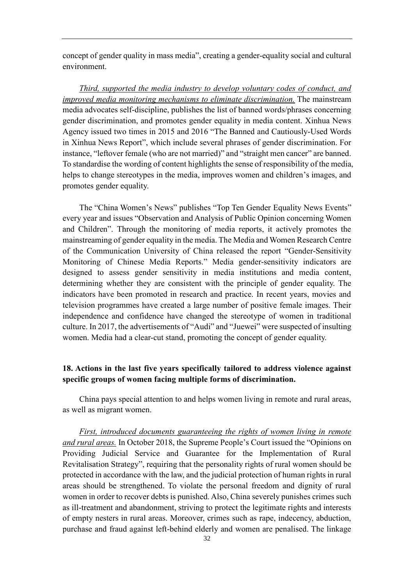concept of gender quality in mass media", creating a gender-equality social and cultural environment.

*Third, supported the media industry to develop voluntary codes of conduct, and improved media monitoring mechanisms to eliminate discrimination.* The mainstream media advocates self-discipline, publishes the list of banned words/phrases concerning gender discrimination, and promotes gender equality in media content. Xinhua News Agency issued two times in 2015 and 2016 "The Banned and Cautiously-Used Words in Xinhua News Report", which include several phrases of gender discrimination. For instance, "leftover female (who are not married)" and "straight men cancer" are banned. To standardise the wording of content highlights the sense of responsibility of the media, helps to change stereotypes in the media, improves women and children's images, and promotes gender equality.

The "China Women's News" publishes "Top Ten Gender Equality News Events" every year and issues "Observation and Analysis of Public Opinion concerning Women and Children". Through the monitoring of media reports, it actively promotes the mainstreaming of gender equality in the media. The Media and Women Research Centre of the Communication University of China released the report "Gender-Sensitivity Monitoring of Chinese Media Reports." Media gender-sensitivity indicators are designed to assess gender sensitivity in media institutions and media content, determining whether they are consistent with the principle of gender equality. The indicators have been promoted in research and practice. In recent years, movies and television programmes have created a large number of positive female images. Their independence and confidence have changed the stereotype of women in traditional culture. In 2017, the advertisements of "Audi" and "Juewei" were suspected of insulting women. Media had a clear-cut stand, promoting the concept of gender equality.

## <span id="page-35-0"></span>**18. Actions in the last five years specifically tailored to address violence against specific groups of women facing multiple forms of discrimination.**

China pays special attention to and helps women living in remote and rural areas, as well as migrant women.

*First, introduced documents guaranteeing the rights of women living in remote and rural areas.* In October 2018, the Supreme People's Court issued the "Opinions on Providing Judicial Service and Guarantee for the Implementation of Rural Revitalisation Strategy", requiring that the personality rights of rural women should be protected in accordance with the law, and the judicial protection of human rights in rural areas should be strengthened. To violate the personal freedom and dignity of rural women in order to recover debts is punished. Also, China severely punishes crimes such as ill-treatment and abandonment, striving to protect the legitimate rights and interests of empty nesters in rural areas. Moreover, crimes such as rape, indecency, abduction, purchase and fraud against left-behind elderly and women are penalised. The linkage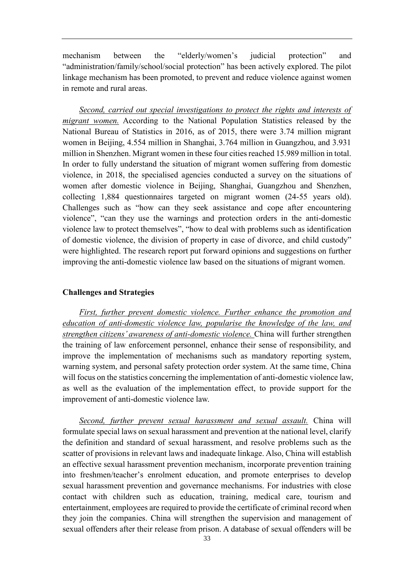mechanism between the "elderly/women's judicial protection" and "administration/family/school/social protection" has been actively explored. The pilot linkage mechanism has been promoted, to prevent and reduce violence against women in remote and rural areas.

*Second, carried out special investigations to protect the rights and interests of migrant women.* According to the National Population Statistics released by the National Bureau of Statistics in 2016, as of 2015, there were 3.74 million migrant women in Beijing, 4.554 million in Shanghai, 3.764 million in Guangzhou, and 3.931 million in Shenzhen. Migrant women in these four cities reached 15.989 million in total. In order to fully understand the situation of migrant women suffering from domestic violence, in 2018, the specialised agencies conducted a survey on the situations of women after domestic violence in Beijing, Shanghai, Guangzhou and Shenzhen, collecting 1,884 questionnaires targeted on migrant women (24-55 years old). Challenges such as "how can they seek assistance and cope after encountering violence", "can they use the warnings and protection orders in the anti-domestic violence law to protect themselves", "how to deal with problems such as identification of domestic violence, the division of property in case of divorce, and child custody" were highlighted. The research report put forward opinions and suggestions on further improving the anti-domestic violence law based on the situations of migrant women.

#### <span id="page-36-0"></span>**Challenges and Strategies**

*First, further prevent domestic violence. Further enhance the promotion and education of anti-domestic violence law, popularise the knowledge of the law, and strengthen citizens' awareness of anti-domestic violence.* China will further strengthen the training of law enforcement personnel, enhance their sense of responsibility, and improve the implementation of mechanisms such as mandatory reporting system, warning system, and personal safety protection order system. At the same time, China will focus on the statistics concerning the implementation of anti-domestic violence law, as well as the evaluation of the implementation effect, to provide support for the improvement of anti-domestic violence law.

*Second, further prevent sexual harassment and sexual assault.* China will formulate special laws on sexual harassment and prevention at the national level, clarify the definition and standard of sexual harassment, and resolve problems such as the scatter of provisions in relevant laws and inadequate linkage. Also, China will establish an effective sexual harassment prevention mechanism, incorporate prevention training into freshmen/teacher's enrolment education, and promote enterprises to develop sexual harassment prevention and governance mechanisms. For industries with close contact with children such as education, training, medical care, tourism and entertainment, employees are required to provide the certificate of criminal record when they join the companies. China will strengthen the supervision and management of sexual offenders after their release from prison. A database of sexual offenders will be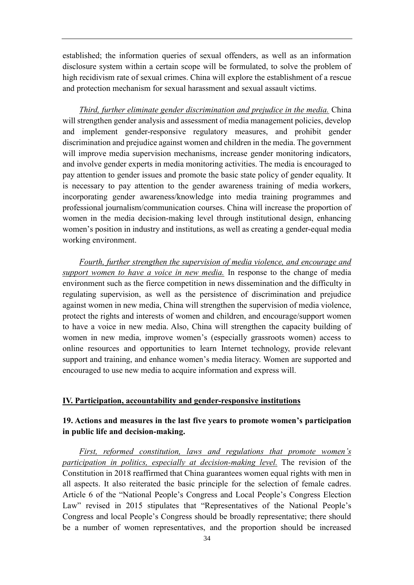established; the information queries of sexual offenders, as well as an information disclosure system within a certain scope will be formulated, to solve the problem of high recidivism rate of sexual crimes. China will explore the establishment of a rescue and protection mechanism for sexual harassment and sexual assault victims.

*Third, further eliminate gender discrimination and prejudice in the media.* China will strengthen gender analysis and assessment of media management policies, develop and implement gender-responsive regulatory measures, and prohibit gender discrimination and prejudice against women and children in the media. The government will improve media supervision mechanisms, increase gender monitoring indicators, and involve gender experts in media monitoring activities. The media is encouraged to pay attention to gender issues and promote the basic state policy of gender equality. It is necessary to pay attention to the gender awareness training of media workers, incorporating gender awareness/knowledge into media training programmes and professional journalism/communication courses. China will increase the proportion of women in the media decision-making level through institutional design, enhancing women's position in industry and institutions, as well as creating a gender-equal media working environment.

*Fourth, further strengthen the supervision of media violence, and encourage and support women to have a voice in new media.* In response to the change of media environment such as the fierce competition in news dissemination and the difficulty in regulating supervision, as well as the persistence of discrimination and prejudice against women in new media, China will strengthen the supervision of media violence, protect the rights and interests of women and children, and encourage/support women to have a voice in new media. Also, China will strengthen the capacity building of women in new media, improve women's (especially grassroots women) access to online resources and opportunities to learn Internet technology, provide relevant support and training, and enhance women's media literacy. Women are supported and encouraged to use new media to acquire information and express will.

#### <span id="page-37-0"></span>**IV. Participation, accountability and gender-responsive institutions**

#### <span id="page-37-1"></span>**19. Actions and measures in the last five years to promote women's participation in public life and decision-making.**

*First, reformed constitution, laws and regulations that promote women's participation in politics, especially at decision-making level.* The revision of the Constitution in 2018 reaffirmed that China guarantees women equal rights with men in all aspects. It also reiterated the basic principle for the selection of female cadres. Article 6 of the "National People's Congress and Local People's Congress Election Law" revised in 2015 stipulates that "Representatives of the National People's Congress and local People's Congress should be broadly representative; there should be a number of women representatives, and the proportion should be increased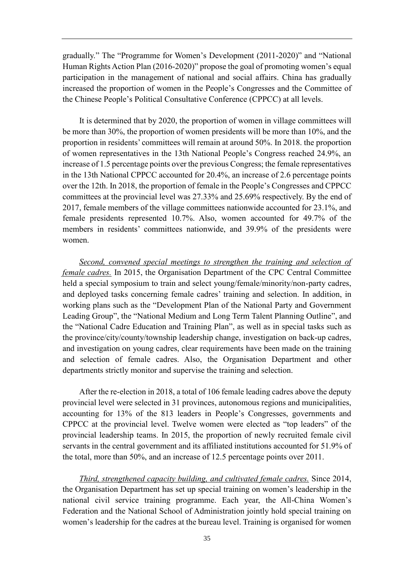gradually." The "Programme for Women's Development (2011-2020)" and "National Human Rights Action Plan (2016-2020)" propose the goal of promoting women's equal participation in the management of national and social affairs. China has gradually increased the proportion of women in the People's Congresses and the Committee of the Chinese People's Political Consultative Conference (CPPCC) at all levels.

It is determined that by 2020, the proportion of women in village committees will be more than 30%, the proportion of women presidents will be more than 10%, and the proportion in residents' committees will remain at around 50%. In 2018. the proportion of women representatives in the 13th National People's Congress reached 24.9%, an increase of 1.5 percentage points over the previous Congress; the female representatives in the 13th National CPPCC accounted for 20.4%, an increase of 2.6 percentage points over the 12th. In 2018, the proportion of female in the People's Congresses and CPPCC committees at the provincial level was 27.33% and 25.69% respectively. By the end of 2017, female members of the village committees nationwide accounted for 23.1%, and female presidents represented 10.7%. Also, women accounted for 49.7% of the members in residents' committees nationwide, and 39.9% of the presidents were women.

*Second, convened special meetings to strengthen the training and selection of female cadres.* In 2015, the Organisation Department of the CPC Central Committee held a special symposium to train and select young/female/minority/non-party cadres, and deployed tasks concerning female cadres' training and selection. In addition, in working plans such as the "Development Plan of the National Party and Government Leading Group", the "National Medium and Long Term Talent Planning Outline", and the "National Cadre Education and Training Plan", as well as in special tasks such as the province/city/county/township leadership change, investigation on back-up cadres, and investigation on young cadres, clear requirements have been made on the training and selection of female cadres. Also, the Organisation Department and other departments strictly monitor and supervise the training and selection.

After the re-election in 2018, a total of 106 female leading cadres above the deputy provincial level were selected in 31 provinces, autonomous regions and municipalities, accounting for 13% of the 813 leaders in People's Congresses, governments and CPPCC at the provincial level. Twelve women were elected as "top leaders" of the provincial leadership teams. In 2015, the proportion of newly recruited female civil servants in the central government and its affiliated institutions accounted for 51.9% of the total, more than 50%, and an increase of 12.5 percentage points over 2011.

*Third, strengthened capacity building, and cultivated female cadres.* Since 2014, the Organisation Department has set up special training on women's leadership in the national civil service training programme. Each year, the All-China Women's Federation and the National School of Administration jointly hold special training on women's leadership for the cadres at the bureau level. Training is organised for women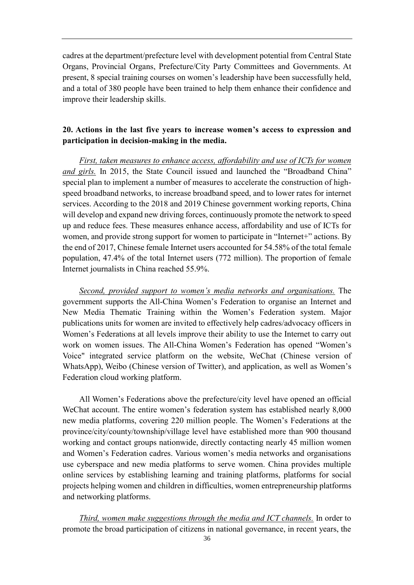cadres at the department/prefecture level with development potential from Central State Organs, Provincial Organs, Prefecture/City Party Committees and Governments. At present, 8 special training courses on women's leadership have been successfully held, and a total of 380 people have been trained to help them enhance their confidence and improve their leadership skills.

## <span id="page-39-0"></span>**20. Actions in the last five years to increase women's access to expression and participation in decision-making in the media.**

*First, taken measures to enhance access, affordability and use of ICTs for women and girls.* In 2015, the State Council issued and launched the "Broadband China" special plan to implement a number of measures to accelerate the construction of highspeed broadband networks, to increase broadband speed, and to lower rates for internet services. According to the 2018 and 2019 Chinese government working reports, China will develop and expand new driving forces, continuously promote the network to speed up and reduce fees. These measures enhance access, affordability and use of ICTs for women, and provide strong support for women to participate in "Internet+" actions. By the end of 2017, Chinese female Internet users accounted for 54.58% of the total female population, 47.4% of the total Internet users (772 million). The proportion of female Internet journalists in China reached 55.9%.

*Second, provided support to women's media networks and organisations.* The government supports the All-China Women's Federation to organise an Internet and New Media Thematic Training within the Women's Federation system. Major publications units for women are invited to effectively help cadres/advocacy officers in Women's Federations at all levels improve their ability to use the Internet to carry out work on women issues. The All-China Women's Federation has opened "Women's Voice" integrated service platform on the website, WeChat (Chinese version of WhatsApp), Weibo (Chinese version of Twitter), and application, as well as Women's Federation cloud working platform.

All Women's Federations above the prefecture/city level have opened an official WeChat account. The entire women's federation system has established nearly 8,000 new media platforms, covering 220 million people. The Women's Federations at the province/city/county/township/village level have established more than 900 thousand working and contact groups nationwide, directly contacting nearly 45 million women and Women's Federation cadres. Various women's media networks and organisations use cyberspace and new media platforms to serve women. China provides multiple online services by establishing learning and training platforms, platforms for social projects helping women and children in difficulties, women entrepreneurship platforms and networking platforms.

*Third, women make suggestions through the media and ICT channels.* In order to promote the broad participation of citizens in national governance, in recent years, the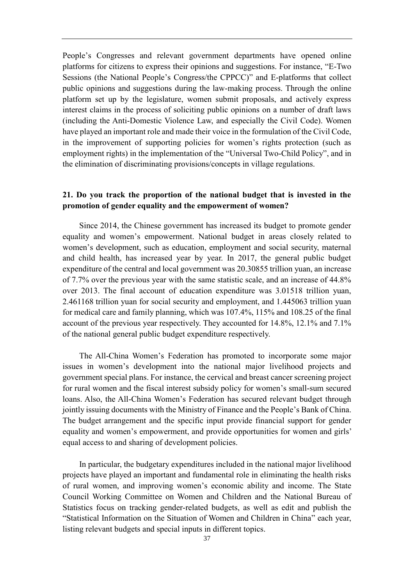People's Congresses and relevant government departments have opened online platforms for citizens to express their opinions and suggestions. For instance, "E-Two Sessions (the National People's Congress/the CPPCC)" and E-platforms that collect public opinions and suggestions during the law-making process. Through the online platform set up by the legislature, women submit proposals, and actively express interest claims in the process of soliciting public opinions on a number of draft laws (including the Anti-Domestic Violence Law, and especially the Civil Code). Women have played an important role and made their voice in the formulation of the Civil Code, in the improvement of supporting policies for women's rights protection (such as employment rights) in the implementation of the "Universal Two-Child Policy", and in the elimination of discriminating provisions/concepts in village regulations.

## <span id="page-40-0"></span>**21. Do you track the proportion of the national budget that is invested in the promotion of gender equality and the empowerment of women?**

Since 2014, the Chinese government has increased its budget to promote gender equality and women's empowerment. National budget in areas closely related to women's development, such as education, employment and social security, maternal and child health, has increased year by year. In 2017, the general public budget expenditure of the central and local government was 20.30855 trillion yuan, an increase of 7.7% over the previous year with the same statistic scale, and an increase of 44.8% over 2013. The final account of education expenditure was 3.01518 trillion yuan, 2.461168 trillion yuan for social security and employment, and 1.445063 trillion yuan for medical care and family planning, which was 107.4%, 115% and 108.25 of the final account of the previous year respectively. They accounted for 14.8%, 12.1% and 7.1% of the national general public budget expenditure respectively.

The All-China Women's Federation has promoted to incorporate some major issues in women's development into the national major livelihood projects and government special plans. For instance, the cervical and breast cancer screening project for rural women and the fiscal interest subsidy policy for women's small-sum secured loans. Also, the All-China Women's Federation has secured relevant budget through jointly issuing documents with the Ministry of Finance and the People's Bank of China. The budget arrangement and the specific input provide financial support for gender equality and women's empowerment, and provide opportunities for women and girls' equal access to and sharing of development policies.

In particular, the budgetary expenditures included in the national major livelihood projects have played an important and fundamental role in eliminating the health risks of rural women, and improving women's economic ability and income. The State Council Working Committee on Women and Children and the National Bureau of Statistics focus on tracking gender-related budgets, as well as edit and publish the "Statistical Information on the Situation of Women and Children in China" each year, listing relevant budgets and special inputs in different topics.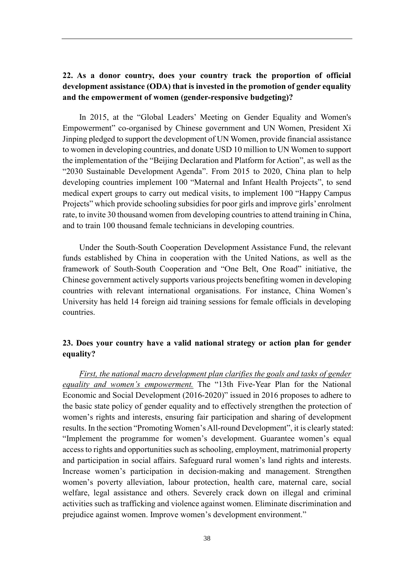## <span id="page-41-0"></span>**22. As a donor country, does your country track the proportion of official development assistance (ODA) that is invested in the promotion of gender equality and the empowerment of women (gender-responsive budgeting)?**

In 2015, at the "Global Leaders' Meeting on Gender Equality and Women's Empowerment" co-organised by Chinese government and UN Women, President Xi Jinping pledged to support the development of UN Women, provide financial assistance to women in developing countries, and donate USD 10 million to UN Women to support the implementation of the "Beijing Declaration and Platform for Action", as well as the "2030 Sustainable Development Agenda". From 2015 to 2020, China plan to help developing countries implement 100 "Maternal and Infant Health Projects", to send medical expert groups to carry out medical visits, to implement 100 "Happy Campus Projects" which provide schooling subsidies for poor girls and improve girls' enrolment rate, to invite 30 thousand women from developing countries to attend training in China, and to train 100 thousand female technicians in developing countries.

Under the South-South Cooperation Development Assistance Fund, the relevant funds established by China in cooperation with the United Nations, as well as the framework of South-South Cooperation and "One Belt, One Road" initiative, the Chinese government actively supports various projects benefiting women in developing countries with relevant international organisations. For instance, China Women's University has held 14 foreign aid training sessions for female officials in developing countries.

#### <span id="page-41-1"></span>**23. Does your country have a valid national strategy or action plan for gender equality?**

*First, the national macro development plan clarifies the goals and tasks of gender equality and women's empowerment.* The "13th Five-Year Plan for the National Economic and Social Development (2016-2020)" issued in 2016 proposes to adhere to the basic state policy of gender equality and to effectively strengthen the protection of women's rights and interests, ensuring fair participation and sharing of development results. In the section "Promoting Women's All-round Development", it is clearly stated: "Implement the programme for women's development. Guarantee women's equal access to rights and opportunities such as schooling, employment, matrimonial property and participation in social affairs. Safeguard rural women's land rights and interests. Increase women's participation in decision-making and management. Strengthen women's poverty alleviation, labour protection, health care, maternal care, social welfare, legal assistance and others. Severely crack down on illegal and criminal activities such as trafficking and violence against women. Eliminate discrimination and prejudice against women. Improve women's development environment."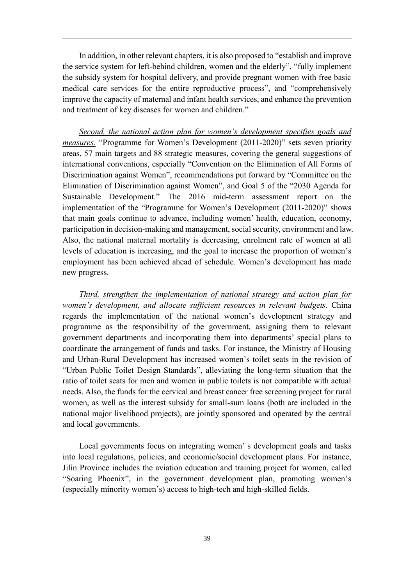In addition, in other relevant chapters, it is also proposed to "establish and improve the service system for left-behind children, women and the elderly", "fully implement the subsidy system for hospital delivery, and provide pregnant women with free basic medical care services for the entire reproductive process", and "comprehensively improve the capacity of maternal and infant health services, and enhance the prevention and treatment of key diseases for women and children."

*Second, the national action plan for women's development specifies goals and measures.* "Programme for Women's Development (2011-2020)" sets seven priority areas, 57 main targets and 88 strategic measures, covering the general suggestions of international conventions, especially "Convention on the Elimination of All Forms of Discrimination against Women", recommendations put forward by "Committee on the Elimination of Discrimination against Women", and Goal 5 of the "2030 Agenda for Sustainable Development." The 2016 mid-term assessment report on the implementation of the "Programme for Women's Development (2011-2020)" shows that main goals continue to advance, including women' health, education, economy, participation in decision-making and management, social security, environment and law. Also, the national maternal mortality is decreasing, enrolment rate of women at all levels of education is increasing, and the goal to increase the proportion of women's employment has been achieved ahead of schedule. Women's development has made new progress.

*Third, strengthen the implementation of national strategy and action plan for women's development, and allocate sufficient resources in relevant budgets.* China regards the implementation of the national women's development strategy and programme as the responsibility of the government, assigning them to relevant government departments and incorporating them into departments' special plans to coordinate the arrangement of funds and tasks. For instance, the Ministry of Housing and Urban-Rural Development has increased women's toilet seats in the revision of "Urban Public Toilet Design Standards", alleviating the long-term situation that the ratio of toilet seats for men and women in public toilets is not compatible with actual needs. Also, the funds for the cervical and breast cancer free screening project for rural women, as well as the interest subsidy for small-sum loans (both are included in the national major livelihood projects), are jointly sponsored and operated by the central and local governments.

Local governments focus on integrating women' s development goals and tasks into local regulations, policies, and economic/social development plans. For instance, Jilin Province includes the aviation education and training project for women, called "Soaring Phoenix", in the government development plan, promoting women's (especially minority women's) access to high-tech and high-skilled fields.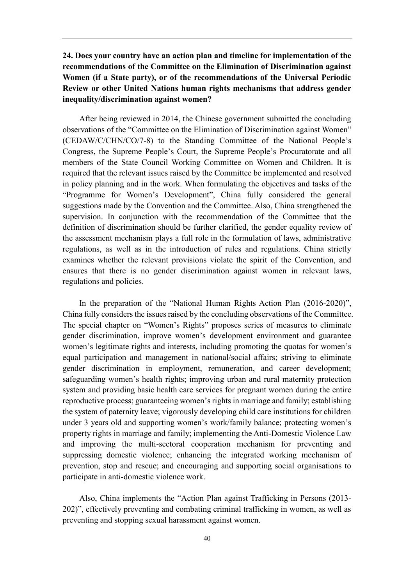## <span id="page-43-0"></span>**24. Does your country have an action plan and timeline for implementation of the recommendations of the Committee on the Elimination of Discrimination against Women (if a State party), or of the recommendations of the Universal Periodic Review or other United Nations human rights mechanisms that address gender inequality/discrimination against women?**

After being reviewed in 2014, the Chinese government submitted the concluding observations of the "Committee on the Elimination of Discrimination against Women" (CEDAW/C/CHN/CO/7-8) to the Standing Committee of the National People's Congress, the Supreme People's Court, the Supreme People's Procuratorate and all members of the State Council Working Committee on Women and Children. It is required that the relevant issues raised by the Committee be implemented and resolved in policy planning and in the work. When formulating the objectives and tasks of the "Programme for Women's Development", China fully considered the general suggestions made by the Convention and the Committee. Also, China strengthened the supervision. In conjunction with the recommendation of the Committee that the definition of discrimination should be further clarified, the gender equality review of the assessment mechanism plays a full role in the formulation of laws, administrative regulations, as well as in the introduction of rules and regulations. China strictly examines whether the relevant provisions violate the spirit of the Convention, and ensures that there is no gender discrimination against women in relevant laws, regulations and policies.

In the preparation of the "National Human Rights Action Plan (2016-2020)", China fully considers the issues raised by the concluding observations of the Committee. The special chapter on "Women's Rights" proposes series of measures to eliminate gender discrimination, improve women's development environment and guarantee women's legitimate rights and interests, including promoting the quotas for women's equal participation and management in national/social affairs; striving to eliminate gender discrimination in employment, remuneration, and career development; safeguarding women's health rights; improving urban and rural maternity protection system and providing basic health care services for pregnant women during the entire reproductive process; guaranteeing women's rights in marriage and family; establishing the system of paternity leave; vigorously developing child care institutions for children under 3 years old and supporting women's work/family balance; protecting women's property rights in marriage and family; implementing the Anti-Domestic Violence Law and improving the multi-sectoral cooperation mechanism for preventing and suppressing domestic violence; enhancing the integrated working mechanism of prevention, stop and rescue; and encouraging and supporting social organisations to participate in anti-domestic violence work.

Also, China implements the "Action Plan against Trafficking in Persons (2013- 202)", effectively preventing and combating criminal trafficking in women, as well as preventing and stopping sexual harassment against women.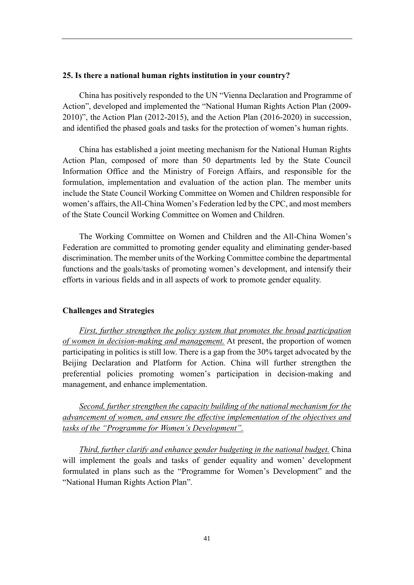#### <span id="page-44-0"></span>**25. Is there a national human rights institution in your country?**

China has positively responded to the UN "Vienna Declaration and Programme of Action", developed and implemented the "National Human Rights Action Plan (2009- 2010)", the Action Plan (2012-2015), and the Action Plan (2016-2020) in succession, and identified the phased goals and tasks for the protection of women's human rights.

China has established a joint meeting mechanism for the National Human Rights Action Plan, composed of more than 50 departments led by the State Council Information Office and the Ministry of Foreign Affairs, and responsible for the formulation, implementation and evaluation of the action plan. The member units include the State Council Working Committee on Women and Children responsible for women's affairs, the All-China Women's Federation led by the CPC, and most members of the State Council Working Committee on Women and Children.

The Working Committee on Women and Children and the All-China Women's Federation are committed to promoting gender equality and eliminating gender-based discrimination. The member units of the Working Committee combine the departmental functions and the goals/tasks of promoting women's development, and intensify their efforts in various fields and in all aspects of work to promote gender equality.

#### <span id="page-44-1"></span>**Challenges and Strategies**

*First, further strengthen the policy system that promotes the broad participation of women in decision-making and management.* At present, the proportion of women participating in politics is still low. There is a gap from the 30% target advocated by the Beijing Declaration and Platform for Action. China will further strengthen the preferential policies promoting women's participation in decision-making and management, and enhance implementation.

*Second, further strengthen the capacity building of the national mechanism for the advancement of women, and ensure the effective implementation of the objectives and tasks of the "Programme for Women's Development".*

*Third, further clarify and enhance gender budgeting in the national budget.* China will implement the goals and tasks of gender equality and women' development formulated in plans such as the "Programme for Women's Development" and the "National Human Rights Action Plan".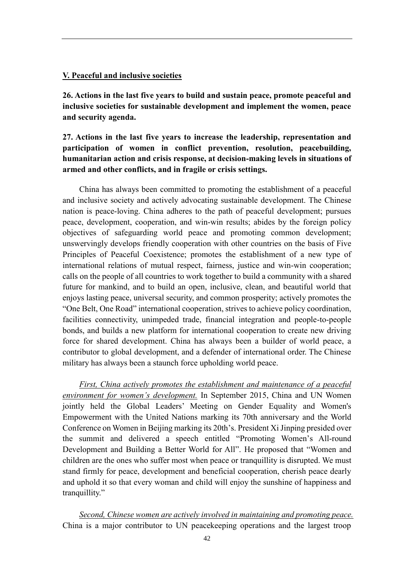#### <span id="page-45-0"></span>**V. Peaceful and inclusive societies**

<span id="page-45-1"></span>**26. Actions in the last five years to build and sustain peace, promote peaceful and inclusive societies for sustainable development and implement the women, peace and security agenda.**

<span id="page-45-2"></span>**27. Actions in the last five years to increase the leadership, representation and participation of women in conflict prevention, resolution, peacebuilding, humanitarian action and crisis response, at decision-making levels in situations of armed and other conflicts, and in fragile or crisis settings.**

China has always been committed to promoting the establishment of a peaceful and inclusive society and actively advocating sustainable development. The Chinese nation is peace-loving. China adheres to the path of peaceful development; pursues peace, development, cooperation, and win-win results; abides by the foreign policy objectives of safeguarding world peace and promoting common development; unswervingly develops friendly cooperation with other countries on the basis of Five Principles of Peaceful Coexistence; promotes the establishment of a new type of international relations of mutual respect, fairness, justice and win-win cooperation; calls on the people of all countries to work together to build a community with a shared future for mankind, and to build an open, inclusive, clean, and beautiful world that enjoys lasting peace, universal security, and common prosperity; actively promotes the "One Belt, One Road" international cooperation, strives to achieve policy coordination, facilities connectivity, unimpeded trade, financial integration and people-to-people bonds, and builds a new platform for international cooperation to create new driving force for shared development. China has always been a builder of world peace, a contributor to global development, and a defender of international order. The Chinese military has always been a staunch force upholding world peace.

*First, China actively promotes the establishment and maintenance of a peaceful environment for women's development.* In September 2015, China and UN Women jointly held the Global Leaders' Meeting on Gender Equality and Women's Empowerment with the United Nations marking its 70th anniversary and the World Conference on Women in Beijing marking its 20th's. President Xi Jinping presided over the summit and delivered a speech entitled "Promoting Women's All-round Development and Building a Better World for All". He proposed that "Women and children are the ones who suffer most when peace or tranquillity is disrupted. We must stand firmly for peace, development and beneficial cooperation, cherish peace dearly and uphold it so that every woman and child will enjoy the sunshine of happiness and tranquillity."

*Second, Chinese women are actively involved in maintaining and promoting peace.* China is a major contributor to UN peacekeeping operations and the largest troop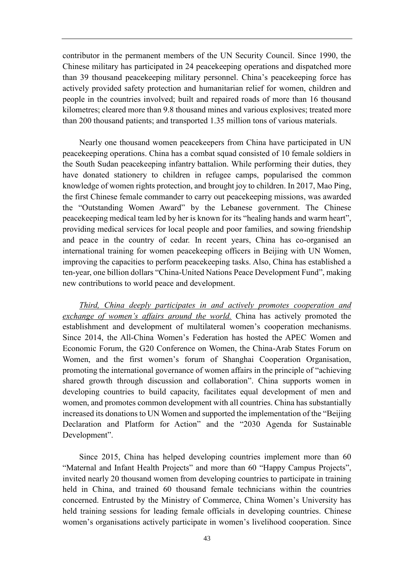contributor in the permanent members of the UN Security Council. Since 1990, the Chinese military has participated in 24 peacekeeping operations and dispatched more than 39 thousand peacekeeping military personnel. China's peacekeeping force has actively provided safety protection and humanitarian relief for women, children and people in the countries involved; built and repaired roads of more than 16 thousand kilometres; cleared more than 9.8 thousand mines and various explosives; treated more than 200 thousand patients; and transported 1.35 million tons of various materials.

Nearly one thousand women peacekeepers from China have participated in UN peacekeeping operations. China has a combat squad consisted of 10 female soldiers in the South Sudan peacekeeping infantry battalion. While performing their duties, they have donated stationery to children in refugee camps, popularised the common knowledge of women rights protection, and brought joy to children. In 2017, Mao Ping, the first Chinese female commander to carry out peacekeeping missions, was awarded the "Outstanding Women Award" by the Lebanese government. The Chinese peacekeeping medical team led by her is known for its "healing hands and warm heart", providing medical services for local people and poor families, and sowing friendship and peace in the country of cedar. In recent years, China has co-organised an international training for women peacekeeping officers in Beijing with UN Women, improving the capacities to perform peacekeeping tasks. Also, China has established a ten-year, one billion dollars "China-United Nations Peace Development Fund", making new contributions to world peace and development.

*Third, China deeply participates in and actively promotes cooperation and exchange of women's affairs around the world.* China has actively promoted the establishment and development of multilateral women's cooperation mechanisms. Since 2014, the All-China Women's Federation has hosted the APEC Women and Economic Forum, the G20 Conference on Women, the China-Arab States Forum on Women, and the first women's forum of Shanghai Cooperation Organisation, promoting the international governance of women affairs in the principle of "achieving shared growth through discussion and collaboration". China supports women in developing countries to build capacity, facilitates equal development of men and women, and promotes common development with all countries. China has substantially increased its donations to UN Women and supported the implementation of the "Beijing Declaration and Platform for Action" and the "2030 Agenda for Sustainable Development".

Since 2015, China has helped developing countries implement more than 60 "Maternal and Infant Health Projects" and more than 60 "Happy Campus Projects", invited nearly 20 thousand women from developing countries to participate in training held in China, and trained 60 thousand female technicians within the countries concerned. Entrusted by the Ministry of Commerce, China Women's University has held training sessions for leading female officials in developing countries. Chinese women's organisations actively participate in women's livelihood cooperation. Since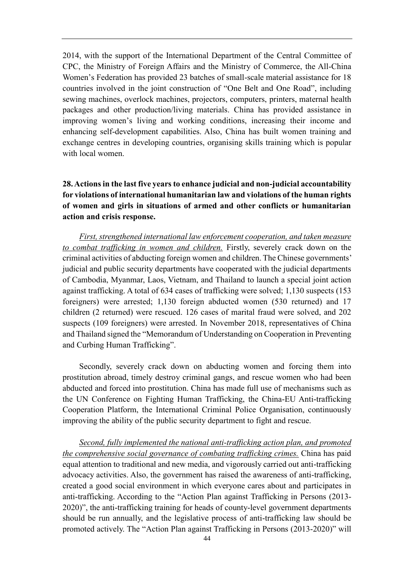2014, with the support of the International Department of the Central Committee of CPC, the Ministry of Foreign Affairs and the Ministry of Commerce, the All-China Women's Federation has provided 23 batches of small-scale material assistance for 18 countries involved in the joint construction of "One Belt and One Road", including sewing machines, overlock machines, projectors, computers, printers, maternal health packages and other production/living materials. China has provided assistance in improving women's living and working conditions, increasing their income and enhancing self-development capabilities. Also, China has built women training and exchange centres in developing countries, organising skills training which is popular with local women.

## <span id="page-47-0"></span>**28. Actions in the last five years to enhance judicial and non-judicial accountability for violations of international humanitarian law and violations of the human rights of women and girls in situations of armed and other conflicts or humanitarian action and crisis response.**

*First, strengthened international law enforcement cooperation, and taken measure to combat trafficking in women and children.* Firstly, severely crack down on the criminal activities of abducting foreign women and children. The Chinese governments' judicial and public security departments have cooperated with the judicial departments of Cambodia, Myanmar, Laos, Vietnam, and Thailand to launch a special joint action against trafficking. A total of 634 cases of trafficking were solved; 1,130 suspects (153 foreigners) were arrested; 1,130 foreign abducted women (530 returned) and 17 children (2 returned) were rescued. 126 cases of marital fraud were solved, and 202 suspects (109 foreigners) were arrested. In November 2018, representatives of China and Thailand signed the "Memorandum of Understanding on Cooperation in Preventing and Curbing Human Trafficking".

Secondly, severely crack down on abducting women and forcing them into prostitution abroad, timely destroy criminal gangs, and rescue women who had been abducted and forced into prostitution. China has made full use of mechanisms such as the UN Conference on Fighting Human Trafficking, the China-EU Anti-trafficking Cooperation Platform, the International Criminal Police Organisation, continuously improving the ability of the public security department to fight and rescue.

*Second, fully implemented the national anti-trafficking action plan, and promoted the comprehensive social governance of combating trafficking crimes.* China has paid equal attention to traditional and new media, and vigorously carried out anti-trafficking advocacy activities. Also, the government has raised the awareness of anti-trafficking, created a good social environment in which everyone cares about and participates in anti-trafficking. According to the "Action Plan against Trafficking in Persons (2013- 2020)", the anti-trafficking training for heads of county-level government departments should be run annually, and the legislative process of anti-trafficking law should be promoted actively. The "Action Plan against Trafficking in Persons (2013-2020)" will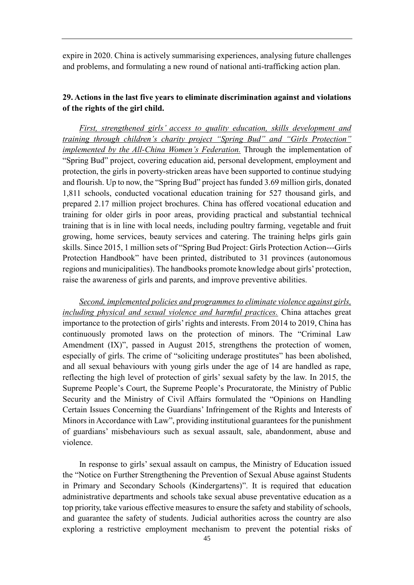expire in 2020. China is actively summarising experiences, analysing future challenges and problems, and formulating a new round of national anti-trafficking action plan.

## <span id="page-48-0"></span>**29. Actions in the last five years to eliminate discrimination against and violations of the rights of the girl child.**

*First, strengthened girls' access to quality education, skills development and training through children's charity project "Spring Bud" and "Girls Protection" implemented by the All-China Women's Federation.* Through the implementation of "Spring Bud" project, covering education aid, personal development, employment and protection, the girls in poverty-stricken areas have been supported to continue studying and flourish. Up to now, the "Spring Bud" project has funded 3.69 million girls, donated 1,811 schools, conducted vocational education training for 527 thousand girls, and prepared 2.17 million project brochures. China has offered vocational education and training for older girls in poor areas, providing practical and substantial technical training that is in line with local needs, including poultry farming, vegetable and fruit growing, home services, beauty services and catering. The training helps girls gain skills. Since 2015, 1 million sets of "Spring Bud Project: Girls Protection Action---Girls Protection Handbook" have been printed, distributed to 31 provinces (autonomous regions and municipalities). The handbooks promote knowledge about girls' protection, raise the awareness of girls and parents, and improve preventive abilities.

*Second, implemented policies and programmes to eliminate violence against girls, including physical and sexual violence and harmful practices.* China attaches great importance to the protection of girls' rights and interests. From 2014 to 2019, China has continuously promoted laws on the protection of minors. The "Criminal Law Amendment (IX)", passed in August 2015, strengthens the protection of women, especially of girls. The crime of "soliciting underage prostitutes" has been abolished, and all sexual behaviours with young girls under the age of 14 are handled as rape, reflecting the high level of protection of girls' sexual safety by the law. In 2015, the Supreme People's Court, the Supreme People's Procuratorate, the Ministry of Public Security and the Ministry of Civil Affairs formulated the "Opinions on Handling Certain Issues Concerning the Guardians' Infringement of the Rights and Interests of Minors in Accordance with Law", providing institutional guarantees for the punishment of guardians' misbehaviours such as sexual assault, sale, abandonment, abuse and violence.

In response to girls' sexual assault on campus, the Ministry of Education issued the "Notice on Further Strengthening the Prevention of Sexual Abuse against Students in Primary and Secondary Schools (Kindergartens)". It is required that education administrative departments and schools take sexual abuse preventative education as a top priority, take various effective measures to ensure the safety and stability of schools, and guarantee the safety of students. Judicial authorities across the country are also exploring a restrictive employment mechanism to prevent the potential risks of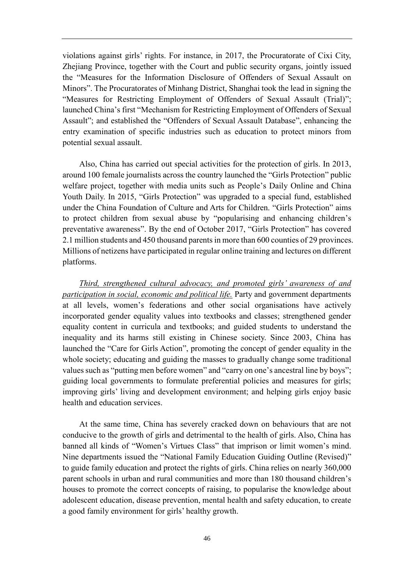violations against girls' rights. For instance, in 2017, the Procuratorate of Cixi City, Zhejiang Province, together with the Court and public security organs, jointly issued the "Measures for the Information Disclosure of Offenders of Sexual Assault on Minors". The Procuratorates of Minhang District, Shanghai took the lead in signing the "Measures for Restricting Employment of Offenders of Sexual Assault (Trial)"; launched China's first "Mechanism for Restricting Employment of Offenders of Sexual Assault"; and established the "Offenders of Sexual Assault Database", enhancing the entry examination of specific industries such as education to protect minors from potential sexual assault.

Also, China has carried out special activities for the protection of girls. In 2013, around 100 female journalists across the country launched the "Girls Protection" public welfare project, together with media units such as People's Daily Online and China Youth Daily. In 2015, "Girls Protection" was upgraded to a special fund, established under the China Foundation of Culture and Arts for Children. "Girls Protection" aims to protect children from sexual abuse by "popularising and enhancing children's preventative awareness". By the end of October 2017, "Girls Protection" has covered 2.1 million students and 450 thousand parents in more than 600 counties of 29 provinces. Millions of netizens have participated in regular online training and lectures on different platforms.

*Third, strengthened cultural advocacy, and promoted girls' awareness of and participation in social, economic and political life.* Party and government departments at all levels, women's federations and other social organisations have actively incorporated gender equality values into textbooks and classes; strengthened gender equality content in curricula and textbooks; and guided students to understand the inequality and its harms still existing in Chinese society. Since 2003, China has launched the "Care for Girls Action", promoting the concept of gender equality in the whole society; educating and guiding the masses to gradually change some traditional values such as "putting men before women" and "carry on one's ancestral line by boys"; guiding local governments to formulate preferential policies and measures for girls; improving girls' living and development environment; and helping girls enjoy basic health and education services.

At the same time, China has severely cracked down on behaviours that are not conducive to the growth of girls and detrimental to the health of girls. Also, China has banned all kinds of "Women's Virtues Class" that imprison or limit women's mind. Nine departments issued the "National Family Education Guiding Outline (Revised)" to guide family education and protect the rights of girls. China relies on nearly 360,000 parent schools in urban and rural communities and more than 180 thousand children's houses to promote the correct concepts of raising, to popularise the knowledge about adolescent education, disease prevention, mental health and safety education, to create a good family environment for girls' healthy growth.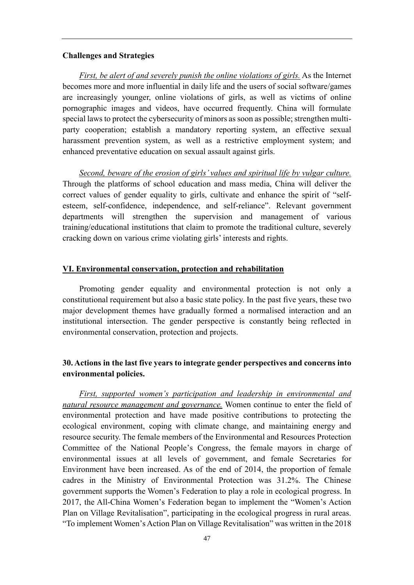#### <span id="page-50-0"></span>**Challenges and Strategies**

*First, be alert of and severely punish the online violations of girls.* As the Internet becomes more and more influential in daily life and the users of social software/games are increasingly younger, online violations of girls, as well as victims of online pornographic images and videos, have occurred frequently. China will formulate special laws to protect the cybersecurity of minors as soon as possible; strengthen multiparty cooperation; establish a mandatory reporting system, an effective sexual harassment prevention system, as well as a restrictive employment system; and enhanced preventative education on sexual assault against girls.

*Second, beware of the erosion of girls' values and spiritual life by vulgar culture.* Through the platforms of school education and mass media, China will deliver the correct values of gender equality to girls, cultivate and enhance the spirit of "selfesteem, self-confidence, independence, and self-reliance". Relevant government departments will strengthen the supervision and management of various training/educational institutions that claim to promote the traditional culture, severely cracking down on various crime violating girls' interests and rights.

#### <span id="page-50-1"></span>**VI. Environmental conservation, protection and rehabilitation**

Promoting gender equality and environmental protection is not only a constitutional requirement but also a basic state policy. In the past five years, these two major development themes have gradually formed a normalised interaction and an institutional intersection. The gender perspective is constantly being reflected in environmental conservation, protection and projects.

#### <span id="page-50-2"></span>**30. Actions in the last five years to integrate gender perspectives and concerns into environmental policies.**

*First, supported women's participation and leadership in environmental and natural resource management and governance.* Women continue to enter the field of environmental protection and have made positive contributions to protecting the ecological environment, coping with climate change, and maintaining energy and resource security. The female members of the Environmental and Resources Protection Committee of the National People's Congress, the female mayors in charge of environmental issues at all levels of government, and female Secretaries for Environment have been increased. As of the end of 2014, the proportion of female cadres in the Ministry of Environmental Protection was 31.2%. The Chinese government supports the Women's Federation to play a role in ecological progress. In 2017, the All-China Women's Federation began to implement the "Women's Action Plan on Village Revitalisation", participating in the ecological progress in rural areas. "To implement Women's Action Plan on Village Revitalisation" was written in the 2018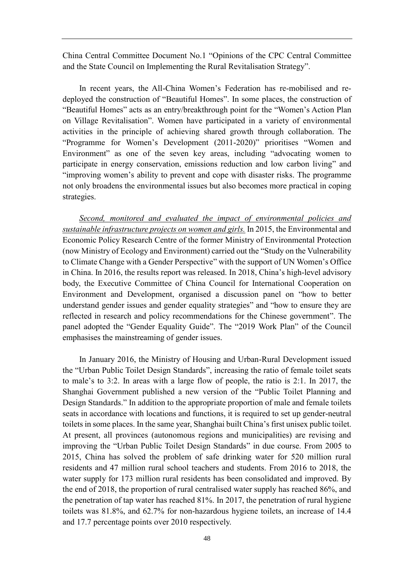China Central Committee Document No.1 "Opinions of the CPC Central Committee and the State Council on Implementing the Rural Revitalisation Strategy".

In recent years, the All-China Women's Federation has re-mobilised and redeployed the construction of "Beautiful Homes". In some places, the construction of "Beautiful Homes" acts as an entry/breakthrough point for the "Women's Action Plan on Village Revitalisation". Women have participated in a variety of environmental activities in the principle of achieving shared growth through collaboration. The "Programme for Women's Development (2011-2020)" prioritises "Women and Environment" as one of the seven key areas, including "advocating women to participate in energy conservation, emissions reduction and low carbon living" and "improving women's ability to prevent and cope with disaster risks. The programme not only broadens the environmental issues but also becomes more practical in coping strategies.

*Second, monitored and evaluated the impact of environmental policies and sustainable infrastructure projects on women and girls.* In 2015, the Environmental and Economic Policy Research Centre of the former Ministry of Environmental Protection (now Ministry of Ecology and Environment) carried out the "Study on the Vulnerability to Climate Change with a Gender Perspective" with the support of UN Women's Office in China. In 2016, the results report was released. In 2018, China's high-level advisory body, the Executive Committee of China Council for International Cooperation on Environment and Development, organised a discussion panel on "how to better understand gender issues and gender equality strategies" and "how to ensure they are reflected in research and policy recommendations for the Chinese government". The panel adopted the "Gender Equality Guide". The "2019 Work Plan" of the Council emphasises the mainstreaming of gender issues.

In January 2016, the Ministry of Housing and Urban-Rural Development issued the "Urban Public Toilet Design Standards", increasing the ratio of female toilet seats to male's to 3:2. In areas with a large flow of people, the ratio is 2:1. In 2017, the Shanghai Government published a new version of the "Public Toilet Planning and Design Standards." In addition to the appropriate proportion of male and female toilets seats in accordance with locations and functions, it is required to set up gender-neutral toilets in some places. In the same year, Shanghai built China's first unisex public toilet. At present, all provinces (autonomous regions and municipalities) are revising and improving the "Urban Public Toilet Design Standards" in due course. From 2005 to 2015, China has solved the problem of safe drinking water for 520 million rural residents and 47 million rural school teachers and students. From 2016 to 2018, the water supply for 173 million rural residents has been consolidated and improved. By the end of 2018, the proportion of rural centralised water supply has reached 86%, and the penetration of tap water has reached 81%. In 2017, the penetration of rural hygiene toilets was 81.8%, and 62.7% for non-hazardous hygiene toilets, an increase of 14.4 and 17.7 percentage points over 2010 respectively.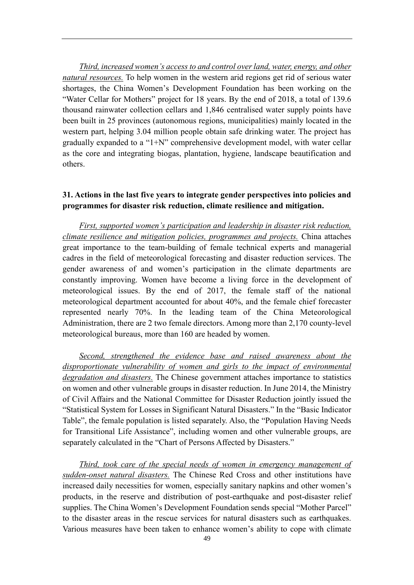*Third, increased women's access to and control over land, water, energy, and other natural resources.* To help women in the western arid regions get rid of serious water shortages, the China Women's Development Foundation has been working on the "Water Cellar for Mothers" project for 18 years. By the end of 2018, a total of 139.6 thousand rainwater collection cellars and 1,846 centralised water supply points have been built in 25 provinces (autonomous regions, municipalities) mainly located in the western part, helping 3.04 million people obtain safe drinking water. The project has gradually expanded to a "1+N" comprehensive development model, with water cellar as the core and integrating biogas, plantation, hygiene, landscape beautification and others.

## <span id="page-52-0"></span>**31. Actions in the last five years to integrate gender perspectives into policies and programmes for disaster risk reduction, climate resilience and mitigation.**

*First, supported women's participation and leadership in disaster risk reduction, climate resilience and mitigation policies, programmes and projects.* China attaches great importance to the team-building of female technical experts and managerial cadres in the field of meteorological forecasting and disaster reduction services. The gender awareness of and women's participation in the climate departments are constantly improving. Women have become a living force in the development of meteorological issues. By the end of 2017, the female staff of the national meteorological department accounted for about 40%, and the female chief forecaster represented nearly 70%. In the leading team of the China Meteorological Administration, there are 2 two female directors. Among more than 2,170 county-level meteorological bureaus, more than 160 are headed by women.

*Second, strengthened the evidence base and raised awareness about the disproportionate vulnerability of women and girls to the impact of environmental degradation and disasters.* The Chinese government attaches importance to statistics on women and other vulnerable groups in disaster reduction. In June 2014, the Ministry of Civil Affairs and the National Committee for Disaster Reduction jointly issued the "Statistical System for Losses in Significant Natural Disasters." In the "Basic Indicator Table", the female population is listed separately. Also, the "Population Having Needs for Transitional Life Assistance", including women and other vulnerable groups, are separately calculated in the "Chart of Persons Affected by Disasters."

*Third, took care of the special needs of women in emergency management of sudden-onset natural disasters.* The Chinese Red Cross and other institutions have increased daily necessities for women, especially sanitary napkins and other women's products, in the reserve and distribution of post-earthquake and post-disaster relief supplies. The China Women's Development Foundation sends special "Mother Parcel" to the disaster areas in the rescue services for natural disasters such as earthquakes. Various measures have been taken to enhance women's ability to cope with climate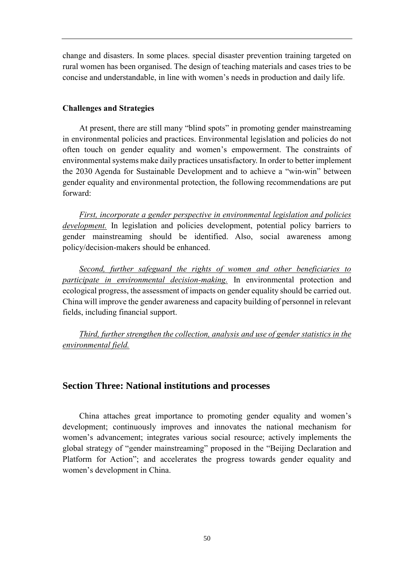change and disasters. In some places. special disaster prevention training targeted on rural women has been organised. The design of teaching materials and cases tries to be concise and understandable, in line with women's needs in production and daily life.

#### <span id="page-53-0"></span>**Challenges and Strategies**

At present, there are still many "blind spots" in promoting gender mainstreaming in environmental policies and practices. Environmental legislation and policies do not often touch on gender equality and women's empowerment. The constraints of environmental systems make daily practices unsatisfactory. In order to better implement the 2030 Agenda for Sustainable Development and to achieve a "win-win" between gender equality and environmental protection, the following recommendations are put forward:

*First, incorporate a gender perspective in environmental legislation and policies development.* In legislation and policies development, potential policy barriers to gender mainstreaming should be identified. Also, social awareness among policy/decision-makers should be enhanced.

*Second, further safeguard the rights of women and other beneficiaries to participate in environmental decision-making.* In environmental protection and ecological progress, the assessment of impacts on gender equality should be carried out. China will improve the gender awareness and capacity building of personnel in relevant fields, including financial support.

*Third, further strengthen the collection, analysis and use of gender statistics in the environmental field.*

#### <span id="page-53-1"></span>**Section Three: National institutions and processes**

China attaches great importance to promoting gender equality and women's development; continuously improves and innovates the national mechanism for women's advancement; integrates various social resource; actively implements the global strategy of "gender mainstreaming" proposed in the "Beijing Declaration and Platform for Action"; and accelerates the progress towards gender equality and women's development in China.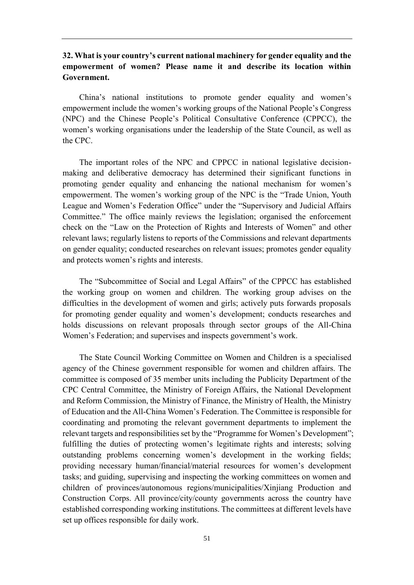## <span id="page-54-0"></span>**32. What is your country's current national machinery for gender equality and the empowerment of women? Please name it and describe its location within Government.**

China's national institutions to promote gender equality and women's empowerment include the women's working groups of the National People's Congress (NPC) and the Chinese People's Political Consultative Conference (CPPCC), the women's working organisations under the leadership of the State Council, as well as the CPC.

The important roles of the NPC and CPPCC in national legislative decisionmaking and deliberative democracy has determined their significant functions in promoting gender equality and enhancing the national mechanism for women's empowerment. The women's working group of the NPC is the "Trade Union, Youth League and Women's Federation Office" under the "Supervisory and Judicial Affairs Committee." The office mainly reviews the legislation; organised the enforcement check on the "Law on the Protection of Rights and Interests of Women" and other relevant laws; regularly listens to reports of the Commissions and relevant departments on gender equality; conducted researches on relevant issues; promotes gender equality and protects women's rights and interests.

The "Subcommittee of Social and Legal Affairs" of the CPPCC has established the working group on women and children. The working group advises on the difficulties in the development of women and girls; actively puts forwards proposals for promoting gender equality and women's development; conducts researches and holds discussions on relevant proposals through sector groups of the All-China Women's Federation; and supervises and inspects government's work.

The State Council Working Committee on Women and Children is a specialised agency of the Chinese government responsible for women and children affairs. The committee is composed of 35 member units including the Publicity Department of the CPC Central Committee, the Ministry of Foreign Affairs, the National Development and Reform Commission, the Ministry of Finance, the Ministry of Health, the Ministry of Education and the All-China Women's Federation. The Committee is responsible for coordinating and promoting the relevant government departments to implement the relevant targets and responsibilities set by the "Programme for Women's Development"; fulfilling the duties of protecting women's legitimate rights and interests; solving outstanding problems concerning women's development in the working fields; providing necessary human/financial/material resources for women's development tasks; and guiding, supervising and inspecting the working committees on women and children of provinces/autonomous regions/municipalities/Xinjiang Production and Construction Corps. All province/city/county governments across the country have established corresponding working institutions. The committees at different levels have set up offices responsible for daily work.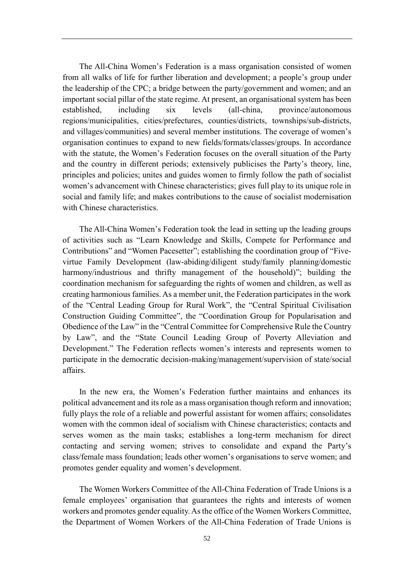The All-China Women's Federation is a mass organisation consisted of women from all walks of life for further liberation and development; a people's group under the leadership of the CPC; a bridge between the party/government and women; and an important social pillar of the state regime. At present, an organisational system has been established, including six levels (all-china, province/autonomous regions/municipalities, cities/prefectures, counties/districts, townships/sub-districts, and villages/communities) and several member institutions. The coverage of women's organisation continues to expand to new fields/formats/classes/groups. In accordance with the statute, the Women's Federation focuses on the overall situation of the Party and the country in different periods; extensively publicises the Party's theory, line, principles and policies; unites and guides women to firmly follow the path of socialist women's advancement with Chinese characteristics; gives full play to its unique role in social and family life; and makes contributions to the cause of socialist modernisation with Chinese characteristics.

The All-China Women's Federation took the lead in setting up the leading groups of activities such as "Learn Knowledge and Skills, Compete for Performance and Contributions" and "Women Pacesetter"; establishing the coordination group of "Fivevirtue Family Development (law-abiding/diligent study/family planning/domestic harmony/industrious and thrifty management of the household)"; building the coordination mechanism for safeguarding the rights of women and children, as well as creating harmonious families. As a member unit, the Federation participates in the work of the "Central Leading Group for Rural Work", the "Central Spiritual Civilisation Construction Guiding Committee", the "Coordination Group for Popularisation and Obedience of the Law" in the "Central Committee for Comprehensive Rule the Country by Law", and the "State Council Leading Group of Poverty Alleviation and Development." The Federation reflects women's interests and represents women to participate in the democratic decision-making/management/supervision of state/social affairs.

In the new era, the Women's Federation further maintains and enhances its political advancement and its role as a mass organisation though reform and innovation; fully plays the role of a reliable and powerful assistant for women affairs; consolidates women with the common ideal of socialism with Chinese characteristics; contacts and serves women as the main tasks; establishes a long-term mechanism for direct contacting and serving women; strives to consolidate and expand the Party's class/female mass foundation; leads other women's organisations to serve women; and promotes gender equality and women's development.

The Women Workers Committee of the All-China Federation of Trade Unions is a female employees' organisation that guarantees the rights and interests of women workers and promotes gender equality. As the office of the Women Workers Committee, the Department of Women Workers of the All-China Federation of Trade Unions is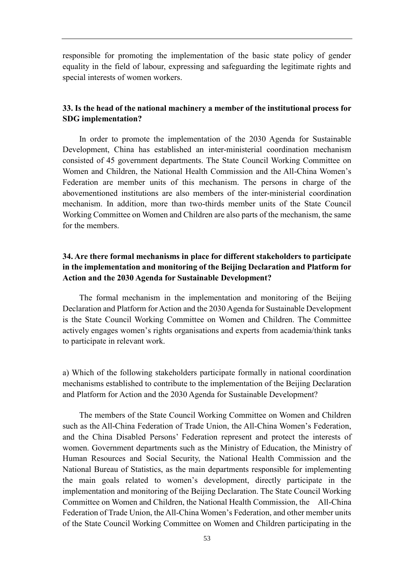responsible for promoting the implementation of the basic state policy of gender equality in the field of labour, expressing and safeguarding the legitimate rights and special interests of women workers.

#### <span id="page-56-0"></span>**33. Is the head of the national machinery a member of the institutional process for SDG implementation?**

In order to promote the implementation of the 2030 Agenda for Sustainable Development, China has established an inter-ministerial coordination mechanism consisted of 45 government departments. The State Council Working Committee on Women and Children, the National Health Commission and the All-China Women's Federation are member units of this mechanism. The persons in charge of the abovementioned institutions are also members of the inter-ministerial coordination mechanism. In addition, more than two-thirds member units of the State Council Working Committee on Women and Children are also parts of the mechanism, the same for the members.

## <span id="page-56-1"></span>**34. Are there formal mechanisms in place for different stakeholders to participate in the implementation and monitoring of the Beijing Declaration and Platform for Action and the 2030 Agenda for Sustainable Development?**

The formal mechanism in the implementation and monitoring of the Beijing Declaration and Platform for Action and the 2030 Agenda for Sustainable Development is the State Council Working Committee on Women and Children. The Committee actively engages women's rights organisations and experts from academia/think tanks to participate in relevant work.

a) Which of the following stakeholders participate formally in national coordination mechanisms established to contribute to the implementation of the Beijing Declaration and Platform for Action and the 2030 Agenda for Sustainable Development?

The members of the State Council Working Committee on Women and Children such as the All-China Federation of Trade Union, the All-China Women's Federation, and the China Disabled Persons' Federation represent and protect the interests of women. Government departments such as the Ministry of Education, the Ministry of Human Resources and Social Security, the National Health Commission and the National Bureau of Statistics, as the main departments responsible for implementing the main goals related to women's development, directly participate in the implementation and monitoring of the Beijing Declaration. The State Council Working Committee on Women and Children, the National Health Commission, the All-China Federation of Trade Union, the All-China Women's Federation, and other member units of the State Council Working Committee on Women and Children participating in the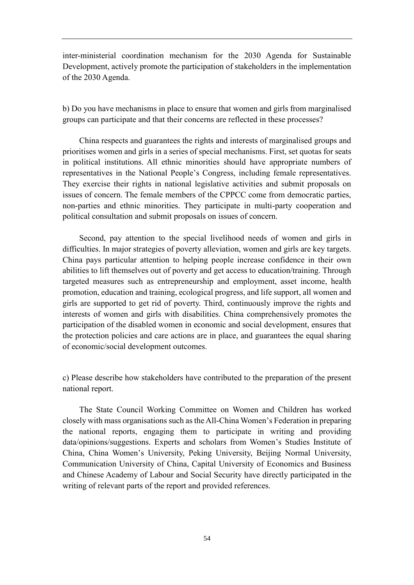inter-ministerial coordination mechanism for the 2030 Agenda for Sustainable Development, actively promote the participation of stakeholders in the implementation of the 2030 Agenda.

b) Do you have mechanisms in place to ensure that women and girls from marginalised groups can participate and that their concerns are reflected in these processes?

China respects and guarantees the rights and interests of marginalised groups and prioritises women and girls in a series of special mechanisms. First, set quotas for seats in political institutions. All ethnic minorities should have appropriate numbers of representatives in the National People's Congress, including female representatives. They exercise their rights in national legislative activities and submit proposals on issues of concern. The female members of the CPPCC come from democratic parties, non-parties and ethnic minorities. They participate in multi-party cooperation and political consultation and submit proposals on issues of concern.

Second, pay attention to the special livelihood needs of women and girls in difficulties. In major strategies of poverty alleviation, women and girls are key targets. China pays particular attention to helping people increase confidence in their own abilities to lift themselves out of poverty and get access to education/training. Through targeted measures such as entrepreneurship and employment, asset income, health promotion, education and training, ecological progress, and life support, all women and girls are supported to get rid of poverty. Third, continuously improve the rights and interests of women and girls with disabilities. China comprehensively promotes the participation of the disabled women in economic and social development, ensures that the protection policies and care actions are in place, and guarantees the equal sharing of economic/social development outcomes.

c) Please describe how stakeholders have contributed to the preparation of the present national report.

The State Council Working Committee on Women and Children has worked closely with mass organisations such as the All-China Women's Federation in preparing the national reports, engaging them to participate in writing and providing data/opinions/suggestions. Experts and scholars from Women's Studies Institute of China, China Women's University, Peking University, Beijing Normal University, Communication University of China, Capital University of Economics and Business and Chinese Academy of Labour and Social Security have directly participated in the writing of relevant parts of the report and provided references.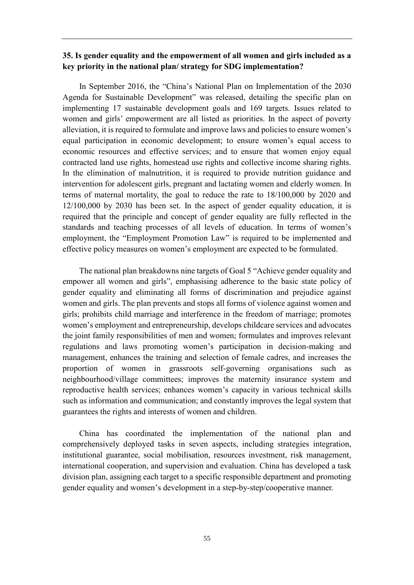#### <span id="page-58-0"></span>**35. Is gender equality and the empowerment of all women and girls included as a key priority in the national plan/ strategy for SDG implementation?**

In September 2016, the "China's National Plan on Implementation of the 2030 Agenda for Sustainable Development" was released, detailing the specific plan on implementing 17 sustainable development goals and 169 targets. Issues related to women and girls' empowerment are all listed as priorities. In the aspect of poverty alleviation, it is required to formulate and improve laws and policies to ensure women's equal participation in economic development; to ensure women's equal access to economic resources and effective services; and to ensure that women enjoy equal contracted land use rights, homestead use rights and collective income sharing rights. In the elimination of malnutrition, it is required to provide nutrition guidance and intervention for adolescent girls, pregnant and lactating women and elderly women. In terms of maternal mortality, the goal to reduce the rate to 18/100,000 by 2020 and 12/100,000 by 2030 has been set. In the aspect of gender equality education, it is required that the principle and concept of gender equality are fully reflected in the standards and teaching processes of all levels of education. In terms of women's employment, the "Employment Promotion Law" is required to be implemented and effective policy measures on women's employment are expected to be formulated.

The national plan breakdowns nine targets of Goal 5 "Achieve gender equality and empower all women and girls", emphasising adherence to the basic state policy of gender equality and eliminating all forms of discrimination and prejudice against women and girls. The plan prevents and stops all forms of violence against women and girls; prohibits child marriage and interference in the freedom of marriage; promotes women's employment and entrepreneurship, develops childcare services and advocates the joint family responsibilities of men and women; formulates and improves relevant regulations and laws promoting women's participation in decision-making and management, enhances the training and selection of female cadres, and increases the proportion of women in grassroots self-governing organisations such neighbourhood/village committees; improves the maternity insurance system and reproductive health services; enhances women's capacity in various technical skills such as information and communication; and constantly improves the legal system that guarantees the rights and interests of women and children.

China has coordinated the implementation of the national plan and comprehensively deployed tasks in seven aspects, including strategies integration, institutional guarantee, social mobilisation, resources investment, risk management, international cooperation, and supervision and evaluation. China has developed a task division plan, assigning each target to a specific responsible department and promoting gender equality and women's development in a step-by-step/cooperative manner.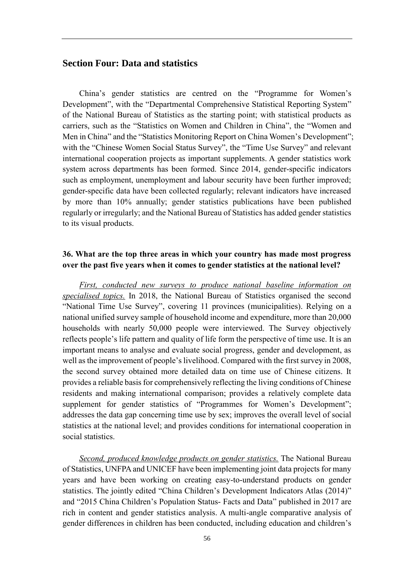#### <span id="page-59-0"></span>**Section Four: Data and statistics**

China's gender statistics are centred on the "Programme for Women's Development", with the "Departmental Comprehensive Statistical Reporting System" of the National Bureau of Statistics as the starting point; with statistical products as carriers, such as the "Statistics on Women and Children in China", the "Women and Men in China" and the "Statistics Monitoring Report on China Women's Development"; with the "Chinese Women Social Status Survey", the "Time Use Survey" and relevant international cooperation projects as important supplements. A gender statistics work system across departments has been formed. Since 2014, gender-specific indicators such as employment, unemployment and labour security have been further improved; gender-specific data have been collected regularly; relevant indicators have increased by more than 10% annually; gender statistics publications have been published regularly or irregularly; and the National Bureau of Statistics has added gender statistics to its visual products.

## <span id="page-59-1"></span>**36. What are the top three areas in which your country has made most progress over the past five years when it comes to gender statistics at the national level?**

*First, conducted new surveys to produce national baseline information on specialised topics.* In 2018, the National Bureau of Statistics organised the second "National Time Use Survey", covering 11 provinces (municipalities). Relying on a national unified survey sample of household income and expenditure, more than 20,000 households with nearly 50,000 people were interviewed. The Survey objectively reflects people's life pattern and quality of life form the perspective of time use. It is an important means to analyse and evaluate social progress, gender and development, as well as the improvement of people's livelihood. Compared with the first survey in 2008, the second survey obtained more detailed data on time use of Chinese citizens. It provides a reliable basis for comprehensively reflecting the living conditions of Chinese residents and making international comparison; provides a relatively complete data supplement for gender statistics of "Programmes for Women's Development"; addresses the data gap concerning time use by sex; improves the overall level of social statistics at the national level; and provides conditions for international cooperation in social statistics.

*Second, produced knowledge products on gender statistics.* The National Bureau of Statistics, UNFPA and UNICEF have been implementing joint data projects for many years and have been working on creating easy-to-understand products on gender statistics. The jointly edited "China Children's Development Indicators Atlas (2014)" and "2015 China Children's Population Status- Facts and Data" published in 2017 are rich in content and gender statistics analysis. A multi-angle comparative analysis of gender differences in children has been conducted, including education and children's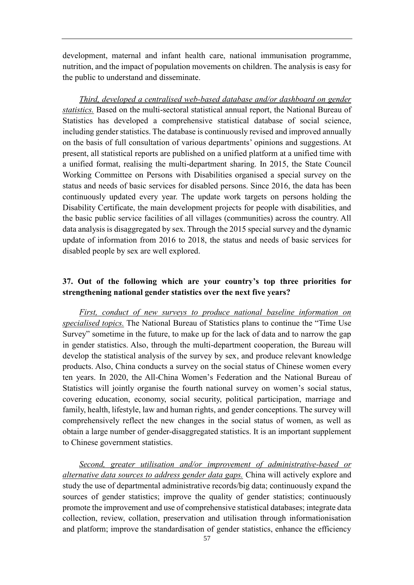development, maternal and infant health care, national immunisation programme, nutrition, and the impact of population movements on children. The analysis is easy for the public to understand and disseminate.

*Third, developed a centralised web-based database and/or dashboard on gender statistics.* Based on the multi-sectoral statistical annual report, the National Bureau of Statistics has developed a comprehensive statistical database of social science, including gender statistics. The database is continuously revised and improved annually on the basis of full consultation of various departments' opinions and suggestions. At present, all statistical reports are published on a unified platform at a unified time with a unified format, realising the multi-department sharing. In 2015, the State Council Working Committee on Persons with Disabilities organised a special survey on the status and needs of basic services for disabled persons. Since 2016, the data has been continuously updated every year. The update work targets on persons holding the Disability Certificate, the main development projects for people with disabilities, and the basic public service facilities of all villages (communities) across the country. All data analysis is disaggregated by sex. Through the 2015 special survey and the dynamic update of information from 2016 to 2018, the status and needs of basic services for disabled people by sex are well explored.

## <span id="page-60-0"></span>**37. Out of the following which are your country's top three priorities for strengthening national gender statistics over the next five years?**

*First, conduct of new surveys to produce national baseline information on specialised topics.* The National Bureau of Statistics plans to continue the "Time Use Survey" sometime in the future, to make up for the lack of data and to narrow the gap in gender statistics. Also, through the multi-department cooperation, the Bureau will develop the statistical analysis of the survey by sex, and produce relevant knowledge products. Also, China conducts a survey on the social status of Chinese women every ten years. In 2020, the All-China Women's Federation and the National Bureau of Statistics will jointly organise the fourth national survey on women's social status, covering education, economy, social security, political participation, marriage and family, health, lifestyle, law and human rights, and gender conceptions. The survey will comprehensively reflect the new changes in the social status of women, as well as obtain a large number of gender-disaggregated statistics. It is an important supplement to Chinese government statistics.

*Second, greater utilisation and/or improvement of administrative-based or alternative data sources to address gender data gaps.* China will actively explore and study the use of departmental administrative records/big data; continuously expand the sources of gender statistics; improve the quality of gender statistics; continuously promote the improvement and use of comprehensive statistical databases; integrate data collection, review, collation, preservation and utilisation through informationisation and platform; improve the standardisation of gender statistics, enhance the efficiency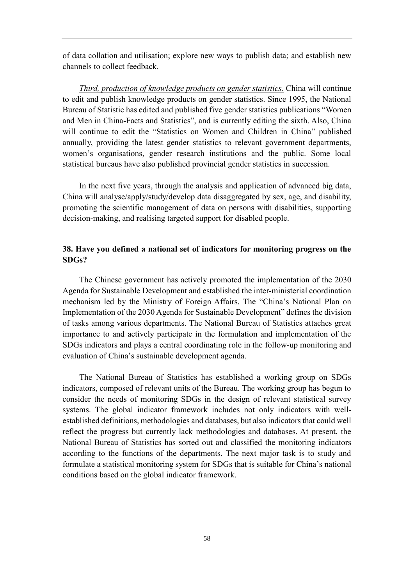of data collation and utilisation; explore new ways to publish data; and establish new channels to collect feedback.

*Third, production of knowledge products on gender statistics.* China will continue to edit and publish knowledge products on gender statistics. Since 1995, the National Bureau of Statistic has edited and published five gender statistics publications "Women and Men in China-Facts and Statistics", and is currently editing the sixth. Also, China will continue to edit the "Statistics on Women and Children in China" published annually, providing the latest gender statistics to relevant government departments, women's organisations, gender research institutions and the public. Some local statistical bureaus have also published provincial gender statistics in succession.

In the next five years, through the analysis and application of advanced big data, China will analyse/apply/study/develop data disaggregated by sex, age, and disability, promoting the scientific management of data on persons with disabilities, supporting decision-making, and realising targeted support for disabled people.

#### <span id="page-61-0"></span>**38. Have you defined a national set of indicators for monitoring progress on the SDGs?**

The Chinese government has actively promoted the implementation of the 2030 Agenda for Sustainable Development and established the inter-ministerial coordination mechanism led by the Ministry of Foreign Affairs. The "China's National Plan on Implementation of the 2030 Agenda for Sustainable Development" defines the division of tasks among various departments. The National Bureau of Statistics attaches great importance to and actively participate in the formulation and implementation of the SDGs indicators and plays a central coordinating role in the follow-up monitoring and evaluation of China's sustainable development agenda.

The National Bureau of Statistics has established a working group on SDGs indicators, composed of relevant units of the Bureau. The working group has begun to consider the needs of monitoring SDGs in the design of relevant statistical survey systems. The global indicator framework includes not only indicators with wellestablished definitions, methodologies and databases, but also indicators that could well reflect the progress but currently lack methodologies and databases. At present, the National Bureau of Statistics has sorted out and classified the monitoring indicators according to the functions of the departments. The next major task is to study and formulate a statistical monitoring system for SDGs that is suitable for China's national conditions based on the global indicator framework.